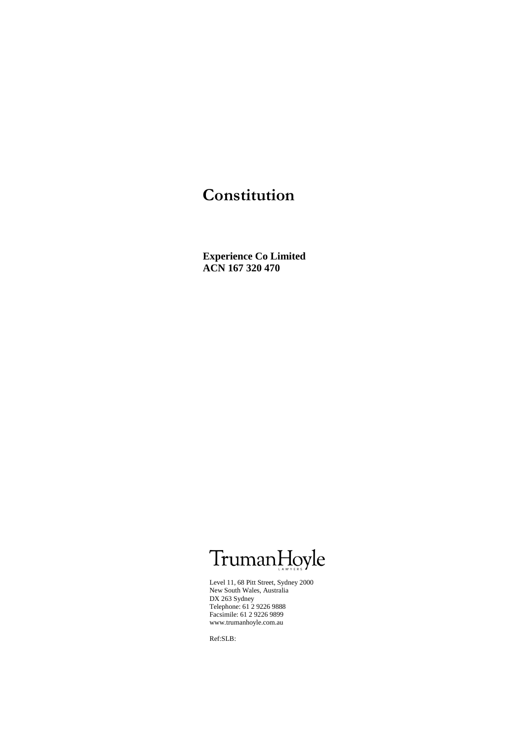# **Constitution**

**Experience Co Limited ACN 167 320 470**

# TrumanHoyle

Level 11, 68 Pitt Street, Sydney 2000 New South Wales, Australia DX 263 Sydney Telephone: 61 2 9226 9888 Facsimile: 61 2 9226 9899 www.trumanhoyle.com.au

Ref:SLB: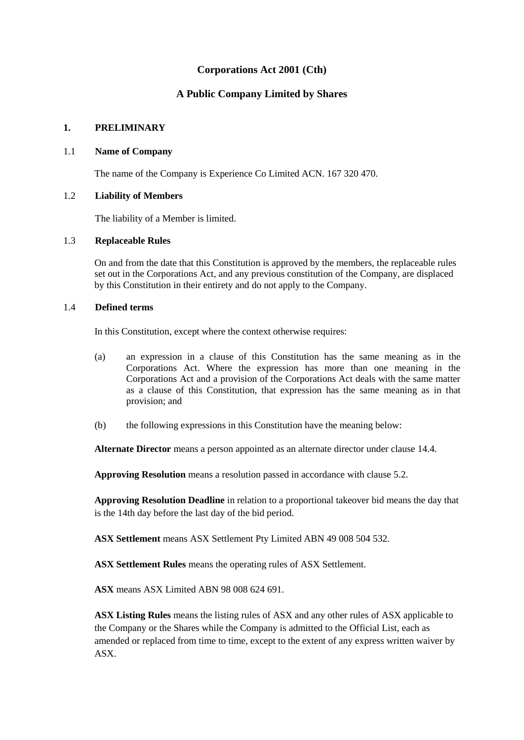# **Corporations Act 2001 (Cth)**

# **A Public Company Limited by Shares**

#### **1. PRELIMINARY**

#### 1.1 **Name of Company**

The name of the Company is Experience Co Limited ACN. 167 320 470.

### 1.2 **Liability of Members**

The liability of a Member is limited.

### 1.3 **Replaceable Rules**

On and from the date that this Constitution is approved by the members, the replaceable rules set out in the Corporations Act, and any previous constitution of the Company, are displaced by this Constitution in their entirety and do not apply to the Company.

### 1.4 **Defined terms**

In this Constitution, except where the context otherwise requires:

- (a) an expression in a clause of this Constitution has the same meaning as in the Corporations Act. Where the expression has more than one meaning in the Corporations Act and a provision of the Corporations Act deals with the same matter as a clause of this Constitution, that expression has the same meaning as in that provision; and
- (b) the following expressions in this Constitution have the meaning below:

**Alternate Director** means a person appointed as an alternate director under clause 14.4.

**Approving Resolution** means a resolution passed in accordance with clause [5.2.](#page-15-0)

**Approving Resolution Deadline** in relation to a proportional takeover bid means the day that is the 14th day before the last day of the bid period.

**ASX Settlement** means ASX Settlement Pty Limited ABN 49 008 504 532.

**ASX Settlement Rules** means the operating rules of ASX Settlement.

**ASX** means ASX Limited ABN 98 008 624 691.

**ASX Listing Rules** means the listing rules of ASX and any other rules of ASX applicable to the Company or the Shares while the Company is admitted to the Official List, each as amended or replaced from time to time, except to the extent of any express written waiver by ASX.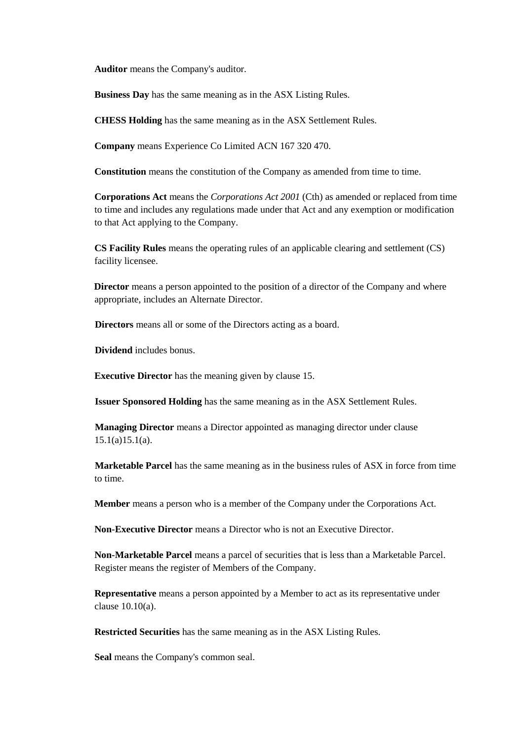**Auditor** means the Company's auditor.

**Business Day** has the same meaning as in the ASX Listing Rules.

**CHESS Holding** has the same meaning as in the ASX Settlement Rules.

**Company** means Experience Co Limited ACN 167 320 470.

**Constitution** means the constitution of the Company as amended from time to time.

**Corporations Act** means the *Corporations Act 2001* (Cth) as amended or replaced from time to time and includes any regulations made under that Act and any exemption or modification to that Act applying to the Company.

**CS Facility Rules** means the operating rules of an applicable clearing and settlement (CS) facility licensee.

**Director** means a person appointed to the position of a director of the Company and where appropriate, includes an Alternate Director.

**Directors** means all or some of the Directors acting as a board.

**Dividend** includes bonus.

**Executive Director** has the meaning given by clause 15.

**Issuer Sponsored Holding** has the same meaning as in the ASX Settlement Rules.

**Managing Director** means a Director appointed as managing director under clause  $15.1(a)15.1(a)$ .

**Marketable Parcel** has the same meaning as in the business rules of ASX in force from time to time.

**Member** means a person who is a member of the Company under the Corporations Act.

**Non-Executive Director** means a Director who is not an Executive Director.

**Non-Marketable Parcel** means a parcel of securities that is less than a Marketable Parcel. Register means the register of Members of the Company.

**Representative** means a person appointed by a Member to act as its representative under clause 10.10(a).

**Restricted Securities** has the same meaning as in the ASX Listing Rules.

**Seal** means the Company's common seal.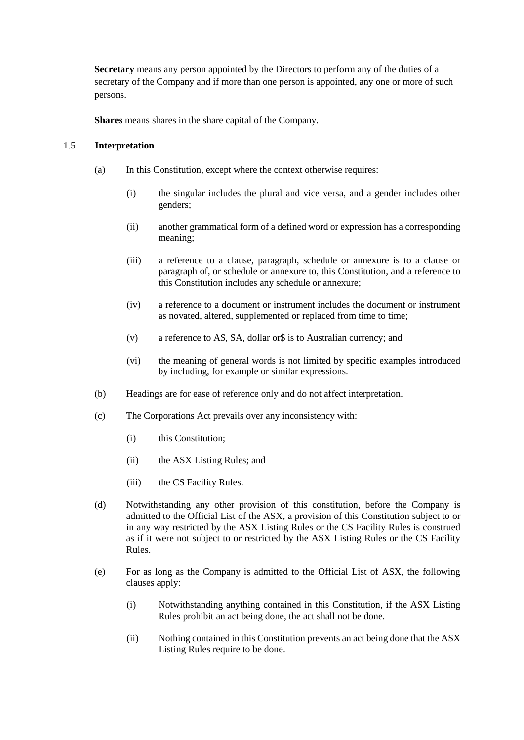**Secretary** means any person appointed by the Directors to perform any of the duties of a secretary of the Company and if more than one person is appointed, any one or more of such persons.

**Shares** means shares in the share capital of the Company.

#### 1.5 **Interpretation**

- (a) In this Constitution, except where the context otherwise requires:
	- (i) the singular includes the plural and vice versa, and a gender includes other genders;
	- (ii) another grammatical form of a defined word or expression has a corresponding meaning;
	- (iii) a reference to a clause, paragraph, schedule or annexure is to a clause or paragraph of, or schedule or annexure to, this Constitution, and a reference to this Constitution includes any schedule or annexure;
	- (iv) a reference to a document or instrument includes the document or instrument as novated, altered, supplemented or replaced from time to time;
	- (v) a reference to A\$, SA, dollar or\$ is to Australian currency; and
	- (vi) the meaning of general words is not limited by specific examples introduced by including, for example or similar expressions.
- (b) Headings are for ease of reference only and do not affect interpretation.
- (c) The Corporations Act prevails over any inconsistency with:
	- (i) this Constitution;
	- (ii) the ASX Listing Rules; and
	- (iii) the CS Facility Rules.
- (d) Notwithstanding any other provision of this constitution, before the Company is admitted to the Official List of the ASX, a provision of this Constitution subject to or in any way restricted by the ASX Listing Rules or the CS Facility Rules is construed as if it were not subject to or restricted by the ASX Listing Rules or the CS Facility Rules.
- (e) For as long as the Company is admitted to the Official List of ASX, the following clauses apply:
	- (i) Notwithstanding anything contained in this Constitution, if the ASX Listing Rules prohibit an act being done, the act shall not be done.
	- (ii) Nothing contained in this Constitution prevents an act being done that the ASX Listing Rules require to be done.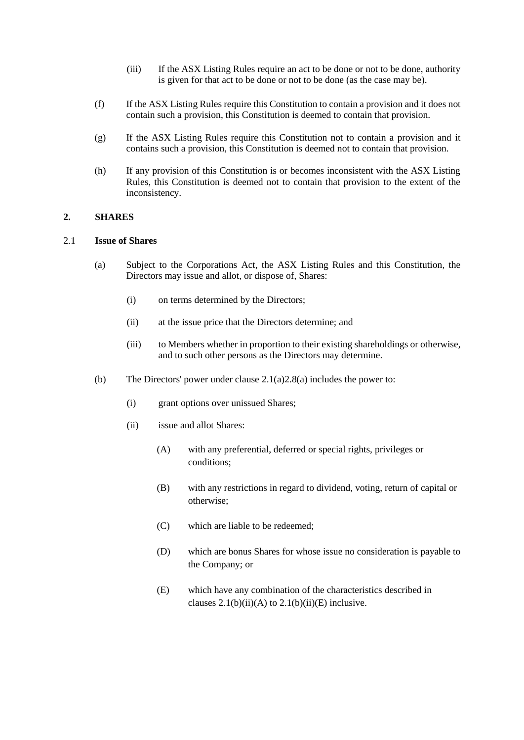- (iii) If the ASX Listing Rules require an act to be done or not to be done, authority is given for that act to be done or not to be done (as the case may be).
- (f) If the ASX Listing Rules require this Constitution to contain a provision and it does not contain such a provision, this Constitution is deemed to contain that provision.
- (g) If the ASX Listing Rules require this Constitution not to contain a provision and it contains such a provision, this Constitution is deemed not to contain that provision.
- (h) If any provision of this Constitution is or becomes inconsistent with the ASX Listing Rules, this Constitution is deemed not to contain that provision to the extent of the inconsistency.

#### **2. SHARES**

#### <span id="page-4-0"></span>2.1 **Issue of Shares**

- (a) Subject to the Corporations Act, the ASX Listing Rules and this Constitution, the Directors may issue and allot, or dispose of, Shares:
	- (i) on terms determined by the Directors;
	- (ii) at the issue price that the Directors determine; and
	- (iii) to Members whether in proportion to their existing shareholdings or otherwise, and to such other persons as the Directors may determine.
- <span id="page-4-3"></span><span id="page-4-2"></span><span id="page-4-1"></span>(b) The Directors' power under clause [2.1\(a\)](#page-4-0)[2.8\(a\)](#page-7-0) includes the power to:
	- (i) grant options over unissued Shares;
	- (ii) issue and allot Shares:
		- (A) with any preferential, deferred or special rights, privileges or conditions;
		- (B) with any restrictions in regard to dividend, voting, return of capital or otherwise;
		- (C) which are liable to be redeemed;
		- (D) which are bonus Shares for whose issue no consideration is payable to the Company; or
		- (E) which have any combination of the characteristics described in clauses  $2.1(b)(ii)(A)$  $2.1(b)(ii)(A)$  to  $2.1(b)(ii)(E)$  $2.1(b)(ii)(E)$  inclusive.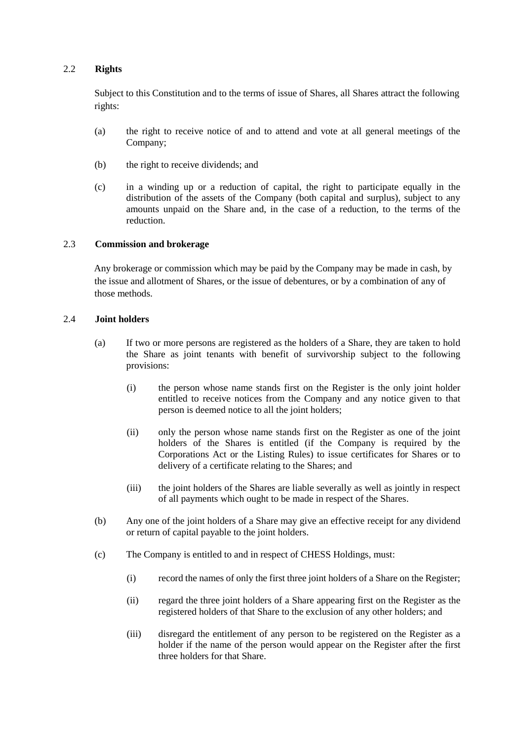#### 2.2 **Rights**

Subject to this Constitution and to the terms of issue of Shares, all Shares attract the following rights:

- (a) the right to receive notice of and to attend and vote at all general meetings of the Company;
- (b) the right to receive dividends; and
- (c) in a winding up or a reduction of capital, the right to participate equally in the distribution of the assets of the Company (both capital and surplus), subject to any amounts unpaid on the Share and, in the case of a reduction, to the terms of the reduction.

### 2.3 **Commission and brokerage**

Any brokerage or commission which may be paid by the Company may be made in cash, by the issue and allotment of Shares, or the issue of debentures, or by a combination of any of those methods.

### 2.4 **Joint holders**

- (a) If two or more persons are registered as the holders of a Share, they are taken to hold the Share as joint tenants with benefit of survivorship subject to the following provisions:
	- (i) the person whose name stands first on the Register is the only joint holder entitled to receive notices from the Company and any notice given to that person is deemed notice to all the joint holders;
	- (ii) only the person whose name stands first on the Register as one of the joint holders of the Shares is entitled (if the Company is required by the Corporations Act or the Listing Rules) to issue certificates for Shares or to delivery of a certificate relating to the Shares; and
	- (iii) the joint holders of the Shares are liable severally as well as jointly in respect of all payments which ought to be made in respect of the Shares.
- (b) Any one of the joint holders of a Share may give an effective receipt for any dividend or return of capital payable to the joint holders.
- (c) The Company is entitled to and in respect of CHESS Holdings, must:
	- (i) record the names of only the first three joint holders of a Share on the Register;
	- (ii) regard the three joint holders of a Share appearing first on the Register as the registered holders of that Share to the exclusion of any other holders; and
	- (iii) disregard the entitlement of any person to be registered on the Register as a holder if the name of the person would appear on the Register after the first three holders for that Share.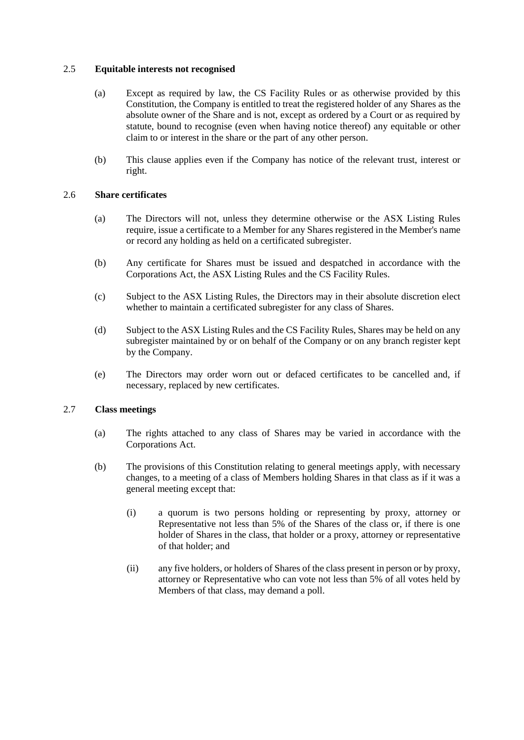### 2.5 **Equitable interests not recognised**

- (a) Except as required by law, the CS Facility Rules or as otherwise provided by this Constitution, the Company is entitled to treat the registered holder of any Shares as the absolute owner of the Share and is not, except as ordered by a Court or as required by statute, bound to recognise (even when having notice thereof) any equitable or other claim to or interest in the share or the part of any other person.
- (b) This clause applies even if the Company has notice of the relevant trust, interest or right.

### 2.6 **Share certificates**

- (a) The Directors will not, unless they determine otherwise or the ASX Listing Rules require, issue a certificate to a Member for any Shares registered in the Member's name or record any holding as held on a certificated subregister.
- (b) Any certificate for Shares must be issued and despatched in accordance with the Corporations Act, the ASX Listing Rules and the CS Facility Rules.
- (c) Subject to the ASX Listing Rules, the Directors may in their absolute discretion elect whether to maintain a certificated subregister for any class of Shares.
- (d) Subject to the ASX Listing Rules and the CS Facility Rules, Shares may be held on any subregister maintained by or on behalf of the Company or on any branch register kept by the Company.
- (e) The Directors may order worn out or defaced certificates to be cancelled and, if necessary, replaced by new certificates.

#### 2.7 **Class meetings**

- (a) The rights attached to any class of Shares may be varied in accordance with the Corporations Act.
- (b) The provisions of this Constitution relating to general meetings apply, with necessary changes, to a meeting of a class of Members holding Shares in that class as if it was a general meeting except that:
	- (i) a quorum is two persons holding or representing by proxy, attorney or Representative not less than 5% of the Shares of the class or, if there is one holder of Shares in the class, that holder or a proxy, attorney or representative of that holder; and
	- (ii) any five holders, or holders of Shares of the class present in person or by proxy, attorney or Representative who can vote not less than 5% of all votes held by Members of that class, may demand a poll.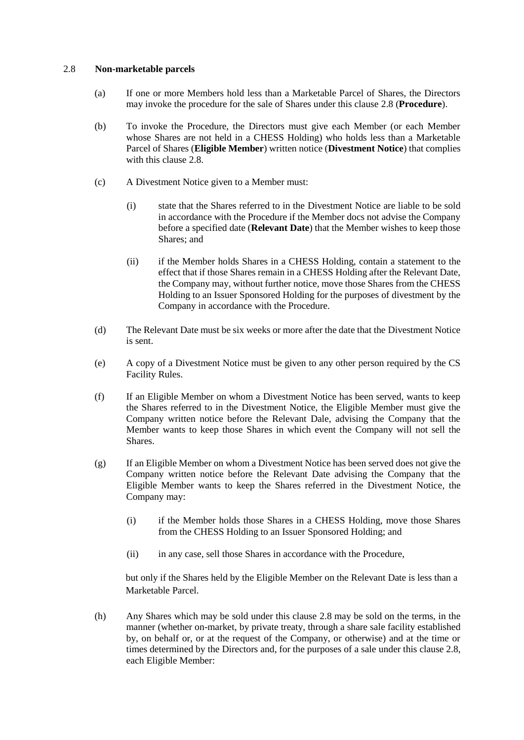#### <span id="page-7-1"></span><span id="page-7-0"></span>2.8 **Non-marketable parcels**

- (a) If one or more Members hold less than a Marketable Parcel of Shares, the Directors may invoke the procedure for the sale of Shares under this clause [2.8](#page-7-1) (**Procedure**).
- (b) To invoke the Procedure, the Directors must give each Member (or each Member whose Shares are not held in a CHESS Holding) who holds less than a Marketable Parcel of Shares (**Eligible Member**) written notice (**Divestment Notice**) that complies with this claus[e 2.8.](#page-7-1)
- (c) A Divestment Notice given to a Member must:
	- (i) state that the Shares referred to in the Divestment Notice are liable to be sold in accordance with the Procedure if the Member docs not advise the Company before a specified date (**Relevant Date**) that the Member wishes to keep those Shares; and
	- (ii) if the Member holds Shares in a CHESS Holding, contain a statement to the effect that if those Shares remain in a CHESS Holding after the Relevant Date, the Company may, without further notice, move those Shares from the CHESS Holding to an Issuer Sponsored Holding for the purposes of divestment by the Company in accordance with the Procedure.
- (d) The Relevant Date must be six weeks or more after the date that the Divestment Notice is sent.
- (e) A copy of a Divestment Notice must be given to any other person required by the CS Facility Rules.
- (f) If an Eligible Member on whom a Divestment Notice has been served, wants to keep the Shares referred to in the Divestment Notice, the Eligible Member must give the Company written notice before the Relevant Dale, advising the Company that the Member wants to keep those Shares in which event the Company will not sell the Shares.
- (g) If an Eligible Member on whom a Divestment Notice has been served does not give the Company written notice before the Relevant Date advising the Company that the Eligible Member wants to keep the Shares referred in the Divestment Notice, the Company may:
	- (i) if the Member holds those Shares in a CHESS Holding, move those Shares from the CHESS Holding to an Issuer Sponsored Holding; and
	- (ii) in any case, sell those Shares in accordance with the Procedure,

but only if the Shares held by the Eligible Member on the Relevant Date is less than a Marketable Parcel.

(h) Any Shares which may be sold under this clause [2.8](#page-7-1) may be sold on the terms, in the manner (whether on-market, by private treaty, through a share sale facility established by, on behalf or, or at the request of the Company, or otherwise) and at the time or times determined by the Directors and, for the purposes of a sale under this clause [2.8,](#page-7-1) each Eligible Member: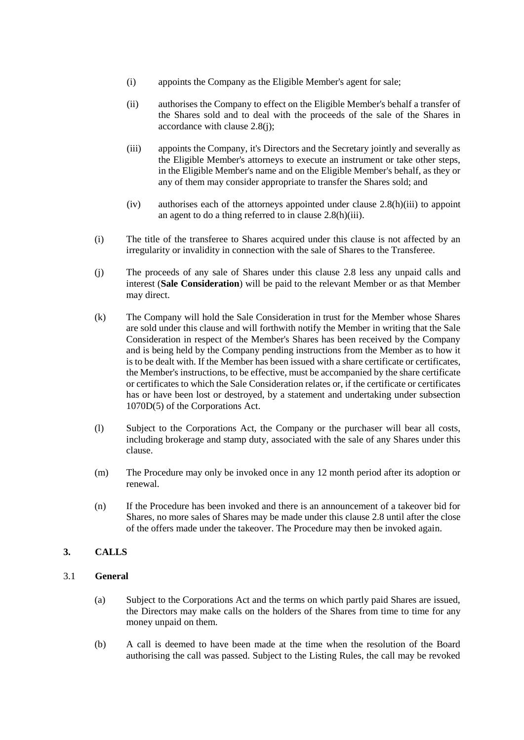- (i) appoints the Company as the Eligible Member's agent for sale;
- (ii) authorises the Company to effect on the Eligible Member's behalf a transfer of the Shares sold and to deal with the proceeds of the sale of the Shares in accordance with clause [2.8\(j\);](#page-8-0)
- <span id="page-8-1"></span>(iii) appoints the Company, it's Directors and the Secretary jointly and severally as the Eligible Member's attorneys to execute an instrument or take other steps, in the Eligible Member's name and on the Eligible Member's behalf, as they or any of them may consider appropriate to transfer the Shares sold; and
- (iv) authorises each of the attorneys appointed under clause [2.8\(h\)\(iii\)](#page-8-1) to appoint an agent to do a thing referred to in clause [2.8\(h\)\(iii\).](#page-8-1)
- (i) The title of the transferee to Shares acquired under this clause is not affected by an irregularity or invalidity in connection with the sale of Shares to the Transferee.
- <span id="page-8-0"></span>(j) The proceeds of any sale of Shares under this clause [2.8](#page-7-1) less any unpaid calls and interest (**Sale Consideration**) will be paid to the relevant Member or as that Member may direct.
- (k) The Company will hold the Sale Consideration in trust for the Member whose Shares are sold under this clause and will forthwith notify the Member in writing that the Sale Consideration in respect of the Member's Shares has been received by the Company and is being held by the Company pending instructions from the Member as to how it is to be dealt with. If the Member has been issued with a share certificate or certificates, the Member's instructions, to be effective, must be accompanied by the share certificate or certificates to which the Sale Consideration relates or, if the certificate or certificates has or have been lost or destroyed, by a statement and undertaking under subsection 1070D(5) of the Corporations Act.
- (l) Subject to the Corporations Act, the Company or the purchaser will bear all costs, including brokerage and stamp duty, associated with the sale of any Shares under this clause.
- (m) The Procedure may only be invoked once in any 12 month period after its adoption or renewal.
- (n) If the Procedure has been invoked and there is an announcement of a takeover bid for Shares, no more sales of Shares may be made under this claus[e 2.8](#page-7-1) until after the close of the offers made under the takeover. The Procedure may then be invoked again.

# **3. CALLS**

#### <span id="page-8-2"></span>3.1 **General**

- (a) Subject to the Corporations Act and the terms on which partly paid Shares are issued, the Directors may make calls on the holders of the Shares from time to time for any money unpaid on them.
- (b) A call is deemed to have been made at the time when the resolution of the Board authorising the call was passed. Subject to the Listing Rules, the call may be revoked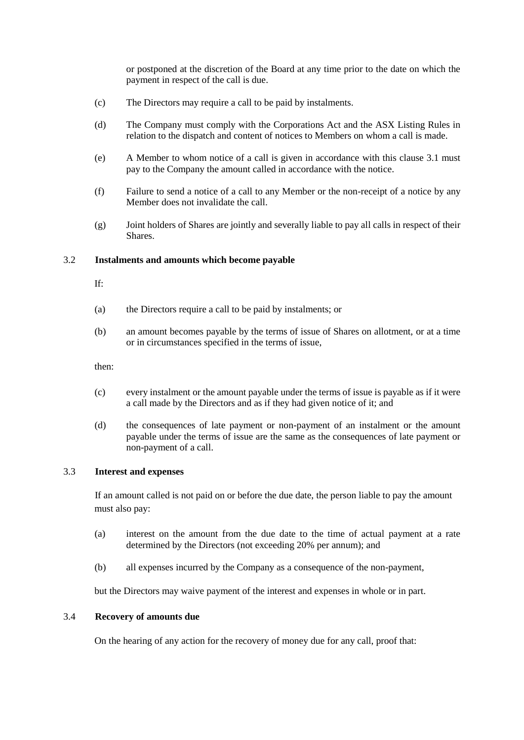or postponed at the discretion of the Board at any time prior to the date on which the payment in respect of the call is due.

- (c) The Directors may require a call to be paid by instalments.
- (d) The Company must comply with the Corporations Act and the ASX Listing Rules in relation to the dispatch and content of notices to Members on whom a call is made.
- (e) A Member to whom notice of a call is given in accordance with this clause [3.1](#page-8-2) must pay to the Company the amount called in accordance with the notice.
- (f) Failure to send a notice of a call to any Member or the non-receipt of a notice by any Member does not invalidate the call.
- (g) Joint holders of Shares are jointly and severally liable to pay all calls in respect of their Shares.

#### 3.2 **Instalments and amounts which become payable**

If:

- (a) the Directors require a call to be paid by instalments; or
- (b) an amount becomes payable by the terms of issue of Shares on allotment, or at a time or in circumstances specified in the terms of issue,

then:

- (c) every instalment or the amount payable under the terms of issue is payable as if it were a call made by the Directors and as if they had given notice of it; and
- (d) the consequences of late payment or non-payment of an instalment or the amount payable under the terms of issue are the same as the consequences of late payment or non-payment of a call.

### 3.3 **Interest and expenses**

If an amount called is not paid on or before the due date, the person liable to pay the amount must also pay:

- (a) interest on the amount from the due date to the time of actual payment at a rate determined by the Directors (not exceeding 20% per annum); and
- (b) all expenses incurred by the Company as a consequence of the non-payment,

but the Directors may waive payment of the interest and expenses in whole or in part.

#### 3.4 **Recovery of amounts due**

On the hearing of any action for the recovery of money due for any call, proof that: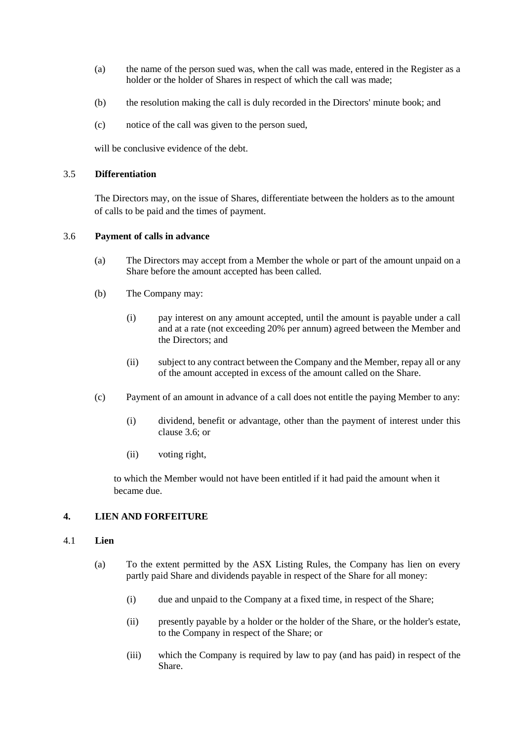- (a) the name of the person sued was, when the call was made, entered in the Register as a holder or the holder of Shares in respect of which the call was made;
- (b) the resolution making the call is duly recorded in the Directors' minute book; and
- (c) notice of the call was given to the person sued,

will be conclusive evidence of the debt.

#### 3.5 **Differentiation**

The Directors may, on the issue of Shares, differentiate between the holders as to the amount of calls to be paid and the times of payment.

#### <span id="page-10-0"></span>3.6 **Payment of calls in advance**

- (a) The Directors may accept from a Member the whole or part of the amount unpaid on a Share before the amount accepted has been called.
- (b) The Company may:
	- (i) pay interest on any amount accepted, until the amount is payable under a call and at a rate (not exceeding 20% per annum) agreed between the Member and the Directors; and
	- (ii) subject to any contract between the Company and the Member, repay all or any of the amount accepted in excess of the amount called on the Share.
- <span id="page-10-1"></span>(c) Payment of an amount in advance of a call does not entitle the paying Member to any:
	- (i) dividend, benefit or advantage, other than the payment of interest under this clause [3.6;](#page-10-0) or
	- (ii) voting right,

to which the Member would not have been entitled if it had paid the amount when it became due.

#### **4. LIEN AND FORFEITURE**

#### 4.1 **Lien**

- (a) To the extent permitted by the ASX Listing Rules, the Company has lien on every partly paid Share and dividends payable in respect of the Share for all money:
	- (i) due and unpaid to the Company at a fixed time, in respect of the Share;
	- (ii) presently payable by a holder or the holder of the Share, or the holder's estate, to the Company in respect of the Share; or
	- (iii) which the Company is required by law to pay (and has paid) in respect of the Share.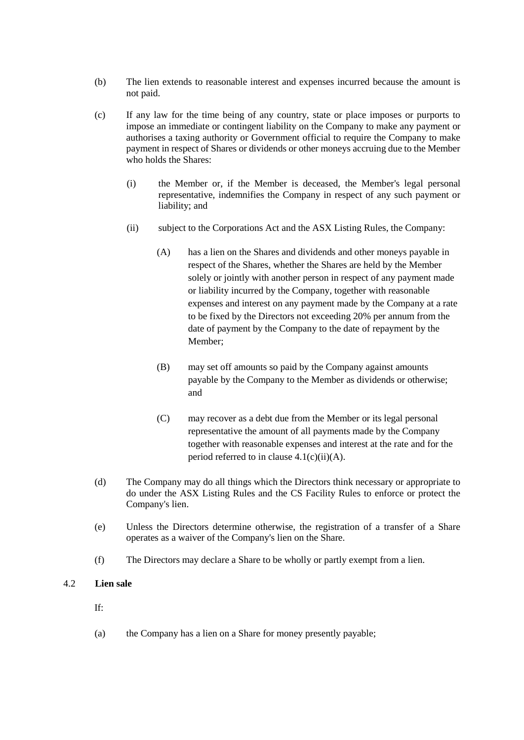- (b) The lien extends to reasonable interest and expenses incurred because the amount is not paid.
- <span id="page-11-1"></span><span id="page-11-0"></span>(c) If any law for the time being of any country, state or place imposes or purports to impose an immediate or contingent liability on the Company to make any payment or authorises a taxing authority or Government official to require the Company to make payment in respect of Shares or dividends or other moneys accruing due to the Member who holds the Shares:
	- (i) the Member or, if the Member is deceased, the Member's legal personal representative, indemnifies the Company in respect of any such payment or liability; and
	- (ii) subject to the Corporations Act and the ASX Listing Rules, the Company:
		- (A) has a lien on the Shares and dividends and other moneys payable in respect of the Shares, whether the Shares are held by the Member solely or jointly with another person in respect of any payment made or liability incurred by the Company, together with reasonable expenses and interest on any payment made by the Company at a rate to be fixed by the Directors not exceeding 20% per annum from the date of payment by the Company to the date of repayment by the Member;
		- (B) may set off amounts so paid by the Company against amounts payable by the Company to the Member as dividends or otherwise; and
		- (C) may recover as a debt due from the Member or its legal personal representative the amount of all payments made by the Company together with reasonable expenses and interest at the rate and for the period referred to in clause  $4.1(c)(ii)(A)$ .
- (d) The Company may do all things which the Directors think necessary or appropriate to do under the ASX Listing Rules and the CS Facility Rules to enforce or protect the Company's lien.
- (e) Unless the Directors determine otherwise, the registration of a transfer of a Share operates as a waiver of the Company's lien on the Share.
- (f) The Directors may declare a Share to be wholly or partly exempt from a lien.

#### 4.2 **Lien sale**

If:

(a) the Company has a lien on a Share for money presently payable;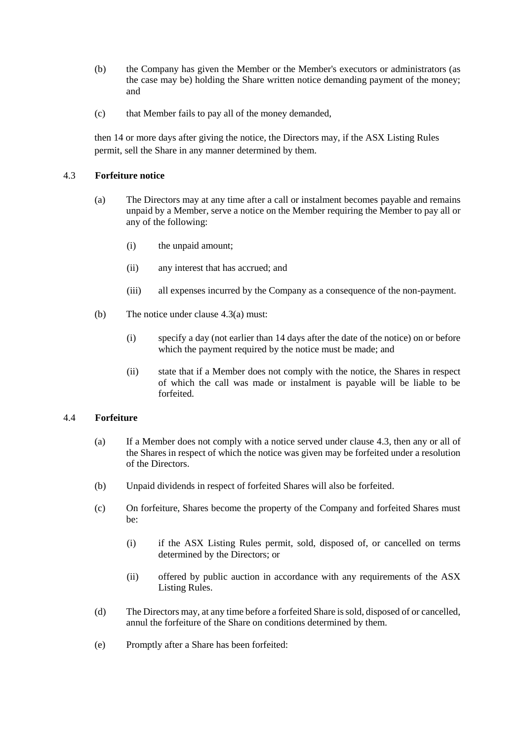- (b) the Company has given the Member or the Member's executors or administrators (as the case may be) holding the Share written notice demanding payment of the money; and
- (c) that Member fails to pay all of the money demanded,

then 14 or more days after giving the notice, the Directors may, if the ASX Listing Rules permit, sell the Share in any manner determined by them.

#### <span id="page-12-1"></span><span id="page-12-0"></span>4.3 **Forfeiture notice**

- (a) The Directors may at any time after a call or instalment becomes payable and remains unpaid by a Member, serve a notice on the Member requiring the Member to pay all or any of the following:
	- (i) the unpaid amount;
	- (ii) any interest that has accrued; and
	- (iii) all expenses incurred by the Company as a consequence of the non-payment.
- (b) The notice under clause [4.3\(a\)](#page-12-0) must:
	- (i) specify a day (not earlier than 14 days after the date of the notice) on or before which the payment required by the notice must be made; and
	- (ii) state that if a Member does not comply with the notice, the Shares in respect of which the call was made or instalment is payable will be liable to be forfeited.

#### 4.4 **Forfeiture**

- (a) If a Member does not comply with a notice served under clause [4.3,](#page-12-1) then any or all of the Shares in respect of which the notice was given may be forfeited under a resolution of the Directors.
- (b) Unpaid dividends in respect of forfeited Shares will also be forfeited.
- (c) On forfeiture, Shares become the property of the Company and forfeited Shares must be:
	- (i) if the ASX Listing Rules permit, sold, disposed of, or cancelled on terms determined by the Directors; or
	- (ii) offered by public auction in accordance with any requirements of the ASX Listing Rules.
- (d) The Directors may, at any time before a forfeited Share is sold, disposed of or cancelled, annul the forfeiture of the Share on conditions determined by them.
- <span id="page-12-2"></span>(e) Promptly after a Share has been forfeited: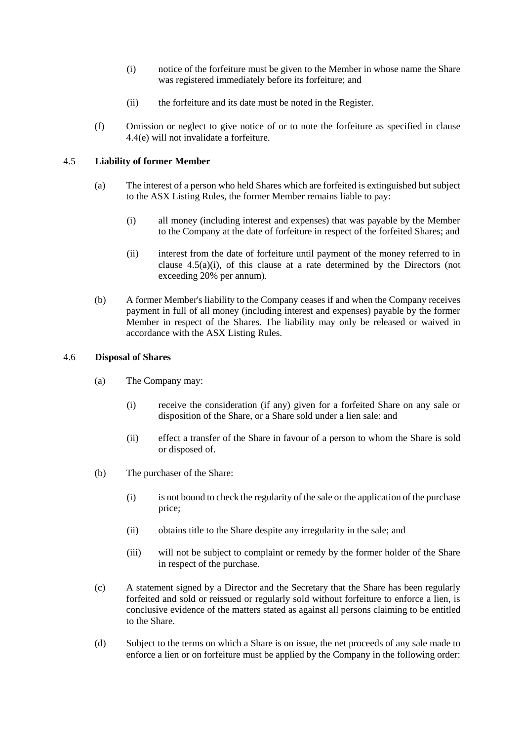- (i) notice of the forfeiture must be given to the Member in whose name the Share was registered immediately before its forfeiture; and
- (ii) the forfeiture and its date must be noted in the Register.
- (f) Omission or neglect to give notice of or to note the forfeiture as specified in clause [4.4\(e\)](#page-12-2) will not invalidate a forfeiture.

#### <span id="page-13-1"></span>4.5 **Liability of former Member**

- <span id="page-13-0"></span>(a) The interest of a person who held Shares which are forfeited is extinguished but subject to the ASX Listing Rules, the former Member remains liable to pay:
	- (i) all money (including interest and expenses) that was payable by the Member to the Company at the date of forfeiture in respect of the forfeited Shares; and
	- (ii) interest from the date of forfeiture until payment of the money referred to in clause  $4.5(a)(i)$ , of this clause at a rate determined by the Directors (not exceeding 20% per annum).
- (b) A former Member's liability to the Company ceases if and when the Company receives payment in full of all money (including interest and expenses) payable by the former Member in respect of the Shares. The liability may only be released or waived in accordance with the ASX Listing Rules.

#### 4.6 **Disposal of Shares**

- (a) The Company may:
	- (i) receive the consideration (if any) given for a forfeited Share on any sale or disposition of the Share, or a Share sold under a lien sale: and
	- (ii) effect a transfer of the Share in favour of a person to whom the Share is sold or disposed of.
- (b) The purchaser of the Share:
	- (i) is not bound to check the regularity of the sale or the application of the purchase price;
	- (ii) obtains title to the Share despite any irregularity in the sale; and
	- (iii) will not be subject to complaint or remedy by the former holder of the Share in respect of the purchase.
- (c) A statement signed by a Director and the Secretary that the Share has been regularly forfeited and sold or reissued or regularly sold without forfeiture to enforce a lien, is conclusive evidence of the matters stated as against all persons claiming to be entitled to the Share.
- (d) Subject to the terms on which a Share is on issue, the net proceeds of any sale made to enforce a lien or on forfeiture must be applied by the Company in the following order: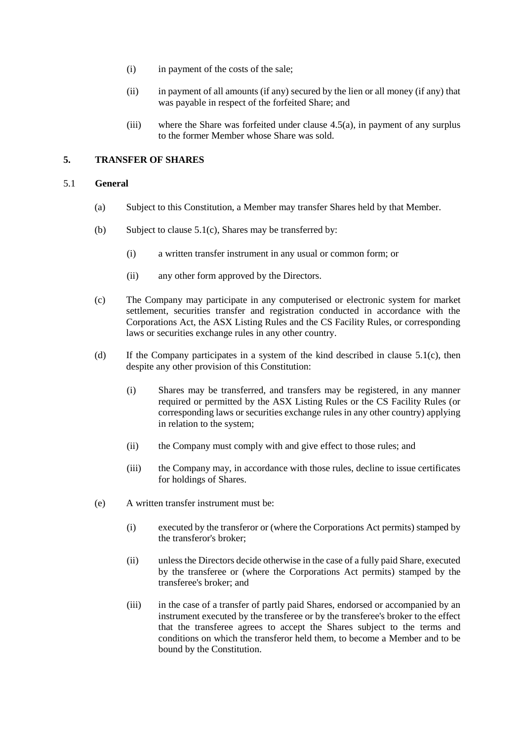- (i) in payment of the costs of the sale;
- (ii) in payment of all amounts (if any) secured by the lien or all money (if any) that was payable in respect of the forfeited Share; and
- (iii) where the Share was forfeited under clause [4.5\(a\),](#page-13-1) in payment of any surplus to the former Member whose Share was sold.

# **5. TRANSFER OF SHARES**

#### 5.1 **General**

- (a) Subject to this Constitution, a Member may transfer Shares held by that Member.
- (b) Subject to clause  $5.1(c)$ , Shares may be transferred by:
	- (i) a written transfer instrument in any usual or common form; or
	- (ii) any other form approved by the Directors.
- <span id="page-14-0"></span>(c) The Company may participate in any computerised or electronic system for market settlement, securities transfer and registration conducted in accordance with the Corporations Act, the ASX Listing Rules and the CS Facility Rules, or corresponding laws or securities exchange rules in any other country.
- (d) If the Company participates in a system of the kind described in clause  $5.1(c)$ , then despite any other provision of this Constitution:
	- (i) Shares may be transferred, and transfers may be registered, in any manner required or permitted by the ASX Listing Rules or the CS Facility Rules (or corresponding laws or securities exchange rules in any other country) applying in relation to the system;
	- (ii) the Company must comply with and give effect to those rules; and
	- (iii) the Company may, in accordance with those rules, decline to issue certificates for holdings of Shares.
- (e) A written transfer instrument must be:
	- (i) executed by the transferor or (where the Corporations Act permits) stamped by the transferor's broker;
	- (ii) unless the Directors decide otherwise in the case of a fully paid Share, executed by the transferee or (where the Corporations Act permits) stamped by the transferee's broker; and
	- (iii) in the case of a transfer of partly paid Shares, endorsed or accompanied by an instrument executed by the transferee or by the transferee's broker to the effect that the transferee agrees to accept the Shares subject to the terms and conditions on which the transferor held them, to become a Member and to be bound by the Constitution.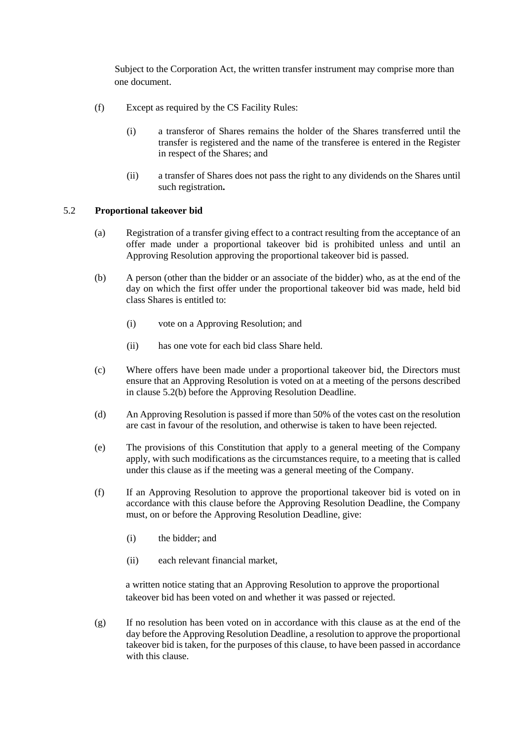Subject to the Corporation Act, the written transfer instrument may comprise more than one document.

- (f) Except as required by the CS Facility Rules:
	- (i) a transferor of Shares remains the holder of the Shares transferred until the transfer is registered and the name of the transferee is entered in the Register in respect of the Shares; and
	- (ii) a transfer of Shares does not pass the right to any dividends on the Shares until such registration**.**

#### <span id="page-15-0"></span>5.2 **Proportional takeover bid**

- (a) Registration of a transfer giving effect to a contract resulting from the acceptance of an offer made under a proportional takeover bid is prohibited unless and until an Approving Resolution approving the proportional takeover bid is passed.
- <span id="page-15-1"></span>(b) A person (other than the bidder or an associate of the bidder) who, as at the end of the day on which the first offer under the proportional takeover bid was made, held bid class Shares is entitled to:
	- (i) vote on a Approving Resolution; and
	- (ii) has one vote for each bid class Share held.
- (c) Where offers have been made under a proportional takeover bid, the Directors must ensure that an Approving Resolution is voted on at a meeting of the persons described in clause [5.2\(b\)](#page-15-1) before the Approving Resolution Deadline.
- (d) An Approving Resolution is passed if more than 50% of the votes cast on the resolution are cast in favour of the resolution, and otherwise is taken to have been rejected.
- (e) The provisions of this Constitution that apply to a general meeting of the Company apply, with such modifications as the circumstances require, to a meeting that is called under this clause as if the meeting was a general meeting of the Company.
- (f) If an Approving Resolution to approve the proportional takeover bid is voted on in accordance with this clause before the Approving Resolution Deadline, the Company must, on or before the Approving Resolution Deadline, give:
	- (i) the bidder; and
	- (ii) each relevant financial market,

a written notice stating that an Approving Resolution to approve the proportional takeover bid has been voted on and whether it was passed or rejected.

(g) If no resolution has been voted on in accordance with this clause as at the end of the day before the Approving Resolution Deadline, a resolution to approve the proportional takeover bid is taken, for the purposes of this clause, to have been passed in accordance with this clause.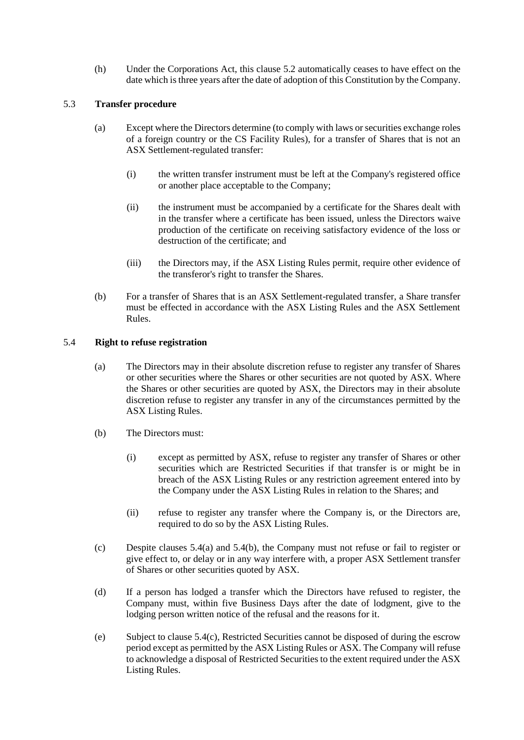(h) Under the Corporations Act, this clause [5.2](#page-15-0) automatically ceases to have effect on the date which is three years after the date of adoption of this Constitution by the Company.

#### 5.3 **Transfer procedure**

- (a) Except where the Directors determine (to comply with laws or securities exchange roles of a foreign country or the CS Facility Rules), for a transfer of Shares that is not an ASX Settlement-regulated transfer:
	- (i) the written transfer instrument must be left at the Company's registered office or another place acceptable to the Company;
	- (ii) the instrument must be accompanied by a certificate for the Shares dealt with in the transfer where a certificate has been issued, unless the Directors waive production of the certificate on receiving satisfactory evidence of the loss or destruction of the certificate; and
	- (iii) the Directors may, if the ASX Listing Rules permit, require other evidence of the transferor's right to transfer the Shares.
- (b) For a transfer of Shares that is an ASX Settlement-regulated transfer, a Share transfer must be effected in accordance with the ASX Listing Rules and the ASX Settlement Rules.

#### <span id="page-16-3"></span><span id="page-16-0"></span>5.4 **Right to refuse registration**

- (a) The Directors may in their absolute discretion refuse to register any transfer of Shares or other securities where the Shares or other securities are not quoted by ASX. Where the Shares or other securities are quoted by ASX, the Directors may in their absolute discretion refuse to register any transfer in any of the circumstances permitted by the ASX Listing Rules.
- <span id="page-16-1"></span>(b) The Directors must:
	- (i) except as permitted by ASX, refuse to register any transfer of Shares or other securities which are Restricted Securities if that transfer is or might be in breach of the ASX Listing Rules or any restriction agreement entered into by the Company under the ASX Listing Rules in relation to the Shares; and
	- (ii) refuse to register any transfer where the Company is, or the Directors are, required to do so by the ASX Listing Rules.
- <span id="page-16-2"></span>(c) Despite clauses [5.4\(a\)](#page-16-0) and [5.4\(b\),](#page-16-1) the Company must not refuse or fail to register or give effect to, or delay or in any way interfere with, a proper ASX Settlement transfer of Shares or other securities quoted by ASX.
- (d) If a person has lodged a transfer which the Directors have refused to register, the Company must, within five Business Days after the date of lodgment, give to the lodging person written notice of the refusal and the reasons for it.
- (e) Subject to clause [5.4\(c\),](#page-16-2) Restricted Securities cannot be disposed of during the escrow period except as permitted by the ASX Listing Rules or ASX. The Company will refuse to acknowledge a disposal of Restricted Securities to the extent required under the ASX Listing Rules.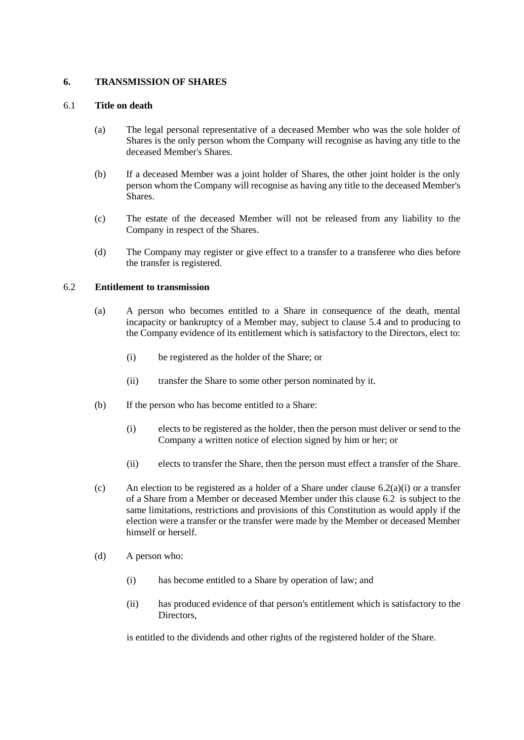#### **6. TRANSMISSION OF SHARES**

#### 6.1 **Title on death**

- (a) The legal personal representative of a deceased Member who was the sole holder of Shares is the only person whom the Company will recognise as having any title to the deceased Member's Shares.
- (b) If a deceased Member was a joint holder of Shares, the other joint holder is the only person whom the Company will recognise as having any title to the deceased Member's Shares.
- (c) The estate of the deceased Member will not be released from any liability to the Company in respect of the Shares.
- (d) The Company may register or give effect to a transfer to a transferee who dies before the transfer is registered.

#### <span id="page-17-1"></span>6.2 **Entitlement to transmission**

- <span id="page-17-0"></span>(a) A person who becomes entitled to a Share in consequence of the death, mental incapacity or bankruptcy of a Member may, subject to clause [5.4](#page-16-3) and to producing to the Company evidence of its entitlement which is satisfactory to the Directors, elect to:
	- (i) be registered as the holder of the Share; or
	- (ii) transfer the Share to some other person nominated by it.
- (b) If the person who has become entitled to a Share:
	- (i) elects to be registered as the holder, then the person must deliver or send to the Company a written notice of election signed by him or her; or
	- (ii) elects to transfer the Share, then the person must effect a transfer of the Share.
- (c) An election to be registered as a holder of a Share under clause  $6.2(a)(i)$  or a transfer of a Share from a Member or deceased Member under this clause [6.2](#page-17-1) is subject to the same limitations, restrictions and provisions of this Constitution as would apply if the election were a transfer or the transfer were made by the Member or deceased Member himself or herself.
- (d) A person who:
	- (i) has become entitled to a Share by operation of law; and
	- (ii) has produced evidence of that person's entitlement which is satisfactory to the Directors.

is entitled to the dividends and other rights of the registered holder of the Share.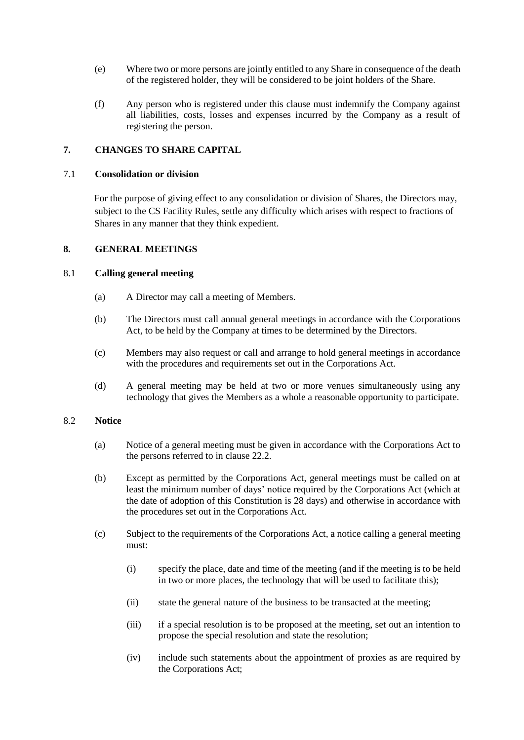- (e) Where two or more persons are jointly entitled to any Share in consequence of the death of the registered holder, they will be considered to be joint holders of the Share.
- (f) Any person who is registered under this clause must indemnify the Company against all liabilities, costs, losses and expenses incurred by the Company as a result of registering the person.

# **7. CHANGES TO SHARE CAPITAL**

#### 7.1 **Consolidation or division**

For the purpose of giving effect to any consolidation or division of Shares, the Directors may, subject to the CS Facility Rules, settle any difficulty which arises with respect to fractions of Shares in any manner that they think expedient.

#### **8. GENERAL MEETINGS**

#### 8.1 **Calling general meeting**

- (a) A Director may call a meeting of Members.
- (b) The Directors must call annual general meetings in accordance with the Corporations Act, to be held by the Company at times to be determined by the Directors.
- <span id="page-18-0"></span>(c) Members may also request or call and arrange to hold general meetings in accordance with the procedures and requirements set out in the Corporations Act.
- (d) A general meeting may be held at two or more venues simultaneously using any technology that gives the Members as a whole a reasonable opportunity to participate.

## 8.2 **Notice**

- (a) Notice of a general meeting must be given in accordance with the Corporations Act to the persons referred to in clause [22.2.](#page-47-0)
- (b) Except as permitted by the Corporations Act, general meetings must be called on at least the minimum number of days' notice required by the Corporations Act (which at the date of adoption of this Constitution is 28 days) and otherwise in accordance with the procedures set out in the Corporations Act.
- <span id="page-18-1"></span>(c) Subject to the requirements of the Corporations Act, a notice calling a general meeting must:
	- (i) specify the place, date and time of the meeting (and if the meeting is to be held in two or more places, the technology that will be used to facilitate this);
	- (ii) state the general nature of the business to be transacted at the meeting;
	- (iii) if a special resolution is to be proposed at the meeting, set out an intention to propose the special resolution and state the resolution;
	- (iv) include such statements about the appointment of proxies as are required by the Corporations Act;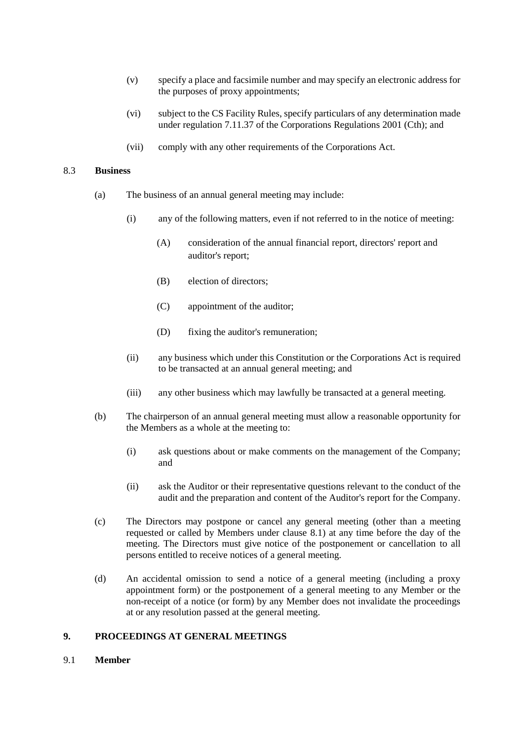- (v) specify a place and facsimile number and may specify an electronic address for the purposes of proxy appointments;
- (vi) subject to the CS Facility Rules, specify particulars of any determination made under regulation 7.11.37 of the Corporations Regulations 2001 (Cth); and
- (vii) comply with any other requirements of the Corporations Act.

#### 8.3 **Business**

- (a) The business of an annual general meeting may include:
	- (i) any of the following matters, even if not referred to in the notice of meeting:
		- (A) consideration of the annual financial report, directors' report and auditor's report;
		- (B) election of directors;
		- (C) appointment of the auditor;
		- (D) fixing the auditor's remuneration;
	- (ii) any business which under this Constitution or the Corporations Act is required to be transacted at an annual general meeting; and
	- (iii) any other business which may lawfully be transacted at a general meeting.
- (b) The chairperson of an annual general meeting must allow a reasonable opportunity for the Members as a whole at the meeting to:
	- (i) ask questions about or make comments on the management of the Company; and
	- (ii) ask the Auditor or their representative questions relevant to the conduct of the audit and the preparation and content of the Auditor's report for the Company.
- (c) The Directors may postpone or cancel any general meeting (other than a meeting requested or called by Members under clause 8.1) at any time before the day of the meeting. The Directors must give notice of the postponement or cancellation to all persons entitled to receive notices of a general meeting.
- (d) An accidental omission to send a notice of a general meeting (including a proxy appointment form) or the postponement of a general meeting to any Member or the non-receipt of a notice (or form) by any Member does not invalidate the proceedings at or any resolution passed at the general meeting.

#### **9. PROCEEDINGS AT GENERAL MEETINGS**

9.1 **Member**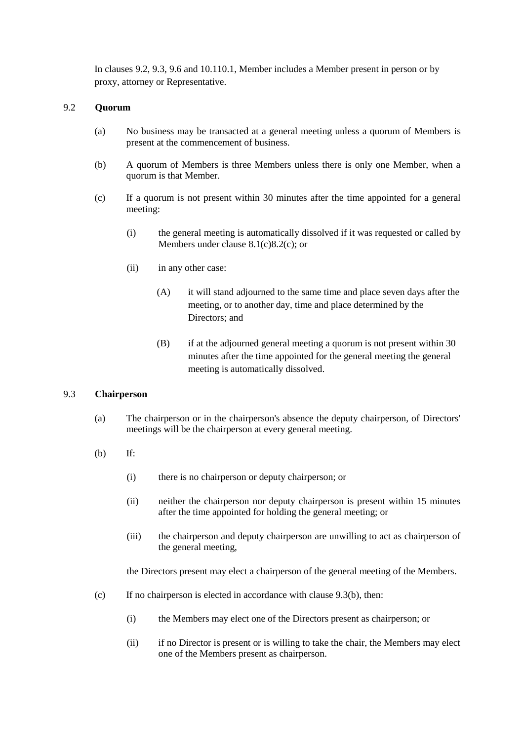In clauses 9.2, 9.3, 9.6 and 10.[110.1,](#page-23-0) Member includes a Member present in person or by proxy, attorney or Representative.

#### 9.2 **Quorum**

- (a) No business may be transacted at a general meeting unless a quorum of Members is present at the commencement of business.
- (b) A quorum of Members is three Members unless there is only one Member, when a quorum is that Member.
- (c) If a quorum is not present within 30 minutes after the time appointed for a general meeting:
	- (i) the general meeting is automatically dissolved if it was requested or called by Members under clause [8.1\(c\)](#page-18-0)[8.2\(c\);](#page-18-1) or
	- (ii) in any other case:
		- (A) it will stand adjourned to the same time and place seven days after the meeting, or to another day, time and place determined by the Directors; and
		- (B) if at the adjourned general meeting a quorum is not present within 30 minutes after the time appointed for the general meeting the general meeting is automatically dissolved.

#### 9.3 **Chairperson**

- (a) The chairperson or in the chairperson's absence the deputy chairperson, of Directors' meetings will be the chairperson at every general meeting.
- (b) If:
	- (i) there is no chairperson or deputy chairperson; or
	- (ii) neither the chairperson nor deputy chairperson is present within 15 minutes after the time appointed for holding the general meeting; or
	- (iii) the chairperson and deputy chairperson are unwilling to act as chairperson of the general meeting,

the Directors present may elect a chairperson of the general meeting of the Members.

- (c) If no chairperson is elected in accordance with clause 9.3(b), then:
	- (i) the Members may elect one of the Directors present as chairperson; or
	- (ii) if no Director is present or is willing to take the chair, the Members may elect one of the Members present as chairperson.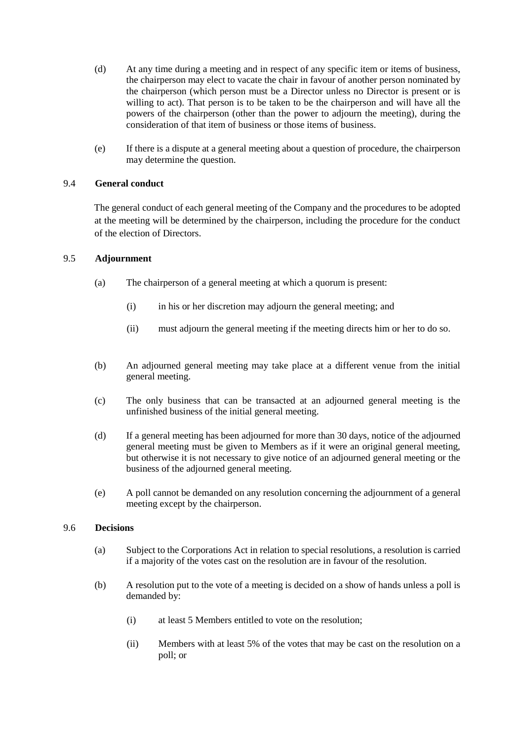- (d) At any time during a meeting and in respect of any specific item or items of business, the chairperson may elect to vacate the chair in favour of another person nominated by the chairperson (which person must be a Director unless no Director is present or is willing to act). That person is to be taken to be the chairperson and will have all the powers of the chairperson (other than the power to adjourn the meeting), during the consideration of that item of business or those items of business.
- (e) If there is a dispute at a general meeting about a question of procedure, the chairperson may determine the question.

#### 9.4 **General conduct**

The general conduct of each general meeting of the Company and the procedures to be adopted at the meeting will be determined by the chairperson, including the procedure for the conduct of the election of Directors.

#### 9.5 **Adjournment**

- (a) The chairperson of a general meeting at which a quorum is present:
	- (i) in his or her discretion may adjourn the general meeting; and
	- (ii) must adjourn the general meeting if the meeting directs him or her to do so.
- (b) An adjourned general meeting may take place at a different venue from the initial general meeting.
- (c) The only business that can be transacted at an adjourned general meeting is the unfinished business of the initial general meeting.
- (d) If a general meeting has been adjourned for more than 30 days, notice of the adjourned general meeting must be given to Members as if it were an original general meeting, but otherwise it is not necessary to give notice of an adjourned general meeting or the business of the adjourned general meeting.
- (e) A poll cannot be demanded on any resolution concerning the adjournment of a general meeting except by the chairperson.

#### 9.6 **Decisions**

- (a) Subject to the Corporations Act in relation to special resolutions, a resolution is carried if a majority of the votes cast on the resolution are in favour of the resolution.
- (b) A resolution put to the vote of a meeting is decided on a show of hands unless a poll is demanded by:
	- (i) at least 5 Members entitled to vote on the resolution;
	- (ii) Members with at least 5% of the votes that may be cast on the resolution on a poll; or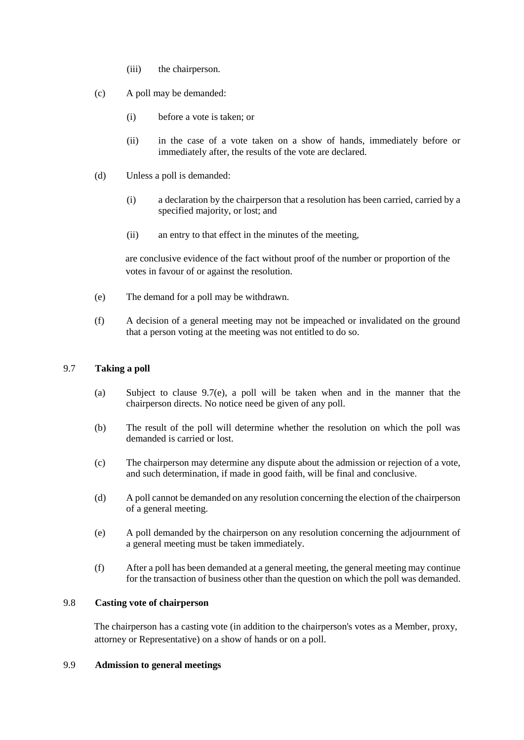- (iii) the chairperson.
- (c) A poll may be demanded:
	- (i) before a vote is taken; or
	- (ii) in the case of a vote taken on a show of hands, immediately before or immediately after, the results of the vote are declared.
- (d) Unless a poll is demanded:
	- (i) a declaration by the chairperson that a resolution has been carried, carried by a specified majority, or lost; and
	- (ii) an entry to that effect in the minutes of the meeting,

are conclusive evidence of the fact without proof of the number or proportion of the votes in favour of or against the resolution.

- (e) The demand for a poll may be withdrawn.
- (f) A decision of a general meeting may not be impeached or invalidated on the ground that a person voting at the meeting was not entitled to do so.

#### 9.7 **Taking a poll**

- (a) Subject to clause 9.7(e), a poll will be taken when and in the manner that the chairperson directs. No notice need be given of any poll.
- (b) The result of the poll will determine whether the resolution on which the poll was demanded is carried or lost.
- (c) The chairperson may determine any dispute about the admission or rejection of a vote, and such determination, if made in good faith, will be final and conclusive.
- (d) A poll cannot be demanded on any resolution concerning the election of the chairperson of a general meeting.
- (e) A poll demanded by the chairperson on any resolution concerning the adjournment of a general meeting must be taken immediately.
- (f) After a poll has been demanded at a general meeting, the general meeting may continue for the transaction of business other than the question on which the poll was demanded.

### 9.8 **Casting vote of chairperson**

The chairperson has a casting vote (in addition to the chairperson's votes as a Member, proxy, attorney or Representative) on a show of hands or on a poll.

#### 9.9 **Admission to general meetings**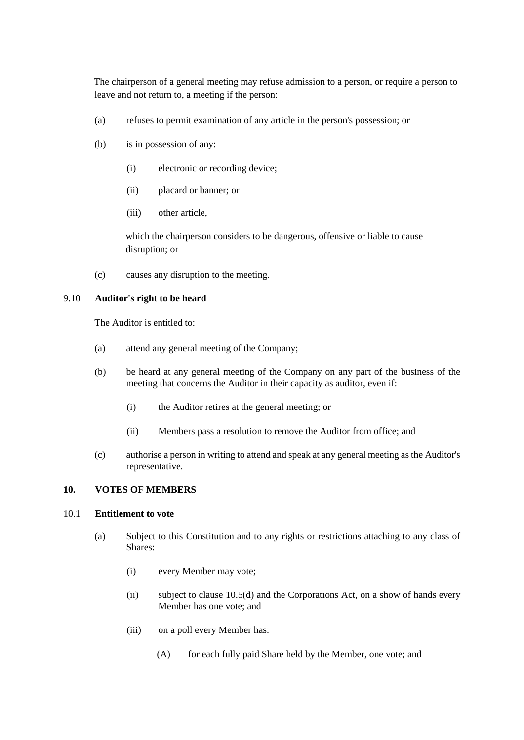The chairperson of a general meeting may refuse admission to a person, or require a person to leave and not return to, a meeting if the person:

- (a) refuses to permit examination of any article in the person's possession; or
- (b) is in possession of any:
	- (i) electronic or recording device;
	- (ii) placard or banner; or
	- (iii) other article,

which the chairperson considers to be dangerous, offensive or liable to cause disruption; or

(c) causes any disruption to the meeting.

### 9.10 **Auditor's right to be heard**

The Auditor is entitled to:

- (a) attend any general meeting of the Company;
- (b) be heard at any general meeting of the Company on any part of the business of the meeting that concerns the Auditor in their capacity as auditor, even if:
	- (i) the Auditor retires at the general meeting; or
	- (ii) Members pass a resolution to remove the Auditor from office; and
- (c) authorise a person in writing to attend and speak at any general meeting as the Auditor's representative.

#### **10. VOTES OF MEMBERS**

# <span id="page-23-0"></span>10.1 **Entitlement to vote**

- (a) Subject to this Constitution and to any rights or restrictions attaching to any class of Shares:
	- (i) every Member may vote;
	- (ii) subject to clause 10.5(d) and the Corporations Act, on a show of hands every Member has one vote; and
	- (iii) on a poll every Member has:
		- (A) for each fully paid Share held by the Member, one vote; and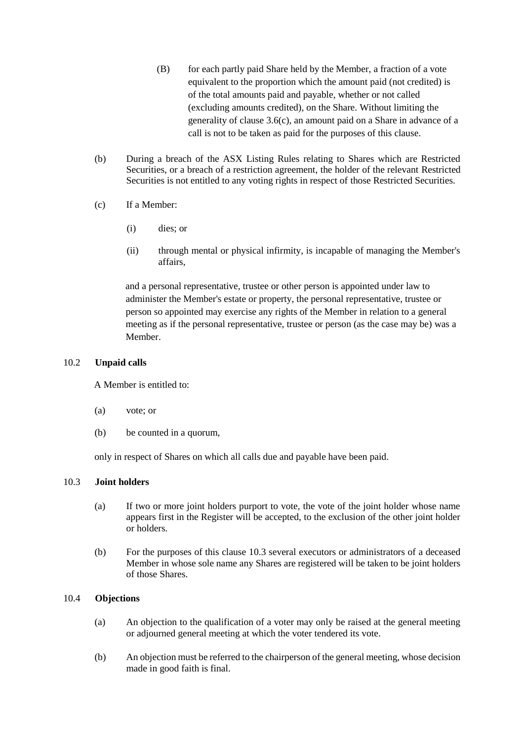- (B) for each partly paid Share held by the Member, a fraction of a vote equivalent to the proportion which the amount paid (not credited) is of the total amounts paid and payable, whether or not called (excluding amounts credited), on the Share. Without limiting the generality of clause [3.6\(c\),](#page-10-1) an amount paid on a Share in advance of a call is not to be taken as paid for the purposes of this clause.
- (b) During a breach of the ASX Listing Rules relating to Shares which are Restricted Securities, or a breach of a restriction agreement, the holder of the relevant Restricted Securities is not entitled to any voting rights in respect of those Restricted Securities.
- (c) If a Member:
	- (i) dies; or
	- (ii) through mental or physical infirmity, is incapable of managing the Member's affairs,

and a personal representative, trustee or other person is appointed under law to administer the Member's estate or property, the personal representative, trustee or person so appointed may exercise any rights of the Member in relation to a general meeting as if the personal representative, trustee or person (as the case may be) was a Member.

#### 10.2 **Unpaid calls**

A Member is entitled to:

- (a) vote; or
- (b) be counted in a quorum,

only in respect of Shares on which all calls due and payable have been paid.

#### 10.3 **Joint holders**

- (a) If two or more joint holders purport to vote, the vote of the joint holder whose name appears first in the Register will be accepted, to the exclusion of the other joint holder or holders.
- (b) For the purposes of this clause 10.3 several executors or administrators of a deceased Member in whose sole name any Shares are registered will be taken to be joint holders of those Shares.

#### 10.4 **Objections**

- (a) An objection to the qualification of a voter may only be raised at the general meeting or adjourned general meeting at which the voter tendered its vote.
- (b) An objection must be referred to the chairperson of the general meeting, whose decision made in good faith is final.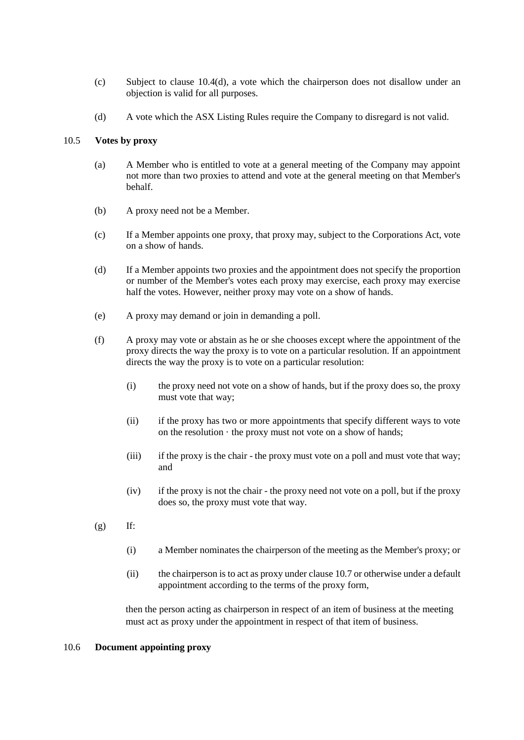- (c) Subject to clause 10.4(d), a vote which the chairperson does not disallow under an objection is valid for all purposes.
- (d) A vote which the ASX Listing Rules require the Company to disregard is not valid.

#### 10.5 **Votes by proxy**

- (a) A Member who is entitled to vote at a general meeting of the Company may appoint not more than two proxies to attend and vote at the general meeting on that Member's behalf.
- (b) A proxy need not be a Member.
- (c) If a Member appoints one proxy, that proxy may, subject to the Corporations Act, vote on a show of hands.
- (d) If a Member appoints two proxies and the appointment does not specify the proportion or number of the Member's votes each proxy may exercise, each proxy may exercise half the votes. However, neither proxy may vote on a show of hands.
- (e) A proxy may demand or join in demanding a poll.
- (f) A proxy may vote or abstain as he or she chooses except where the appointment of the proxy directs the way the proxy is to vote on a particular resolution. If an appointment directs the way the proxy is to vote on a particular resolution:
	- (i) the proxy need not vote on a show of hands, but if the proxy does so, the proxy must vote that way;
	- (ii) if the proxy has two or more appointments that specify different ways to vote on the resolution  $\cdot$  the proxy must not vote on a show of hands;
	- (iii) if the proxy is the chair the proxy must vote on a poll and must vote that way; and
	- (iv) if the proxy is not the chair the proxy need not vote on a poll, but if the proxy does so, the proxy must vote that way.
- $(g)$  If:
	- (i) a Member nominates the chairperson of the meeting as the Member's proxy; or
	- (ii) the chairperson is to act as proxy under clause 10.7 or otherwise under a default appointment according to the terms of the proxy form,

then the person acting as chairperson in respect of an item of business at the meeting must act as proxy under the appointment in respect of that item of business.

#### 10.6 **Document appointing proxy**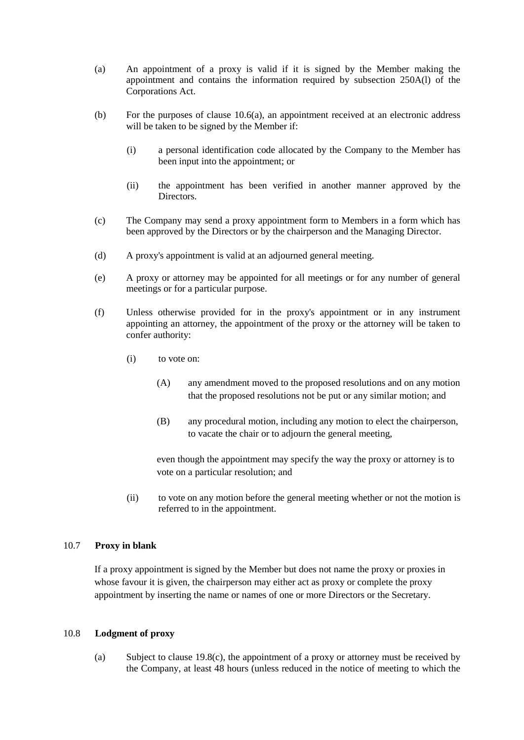- (a) An appointment of a proxy is valid if it is signed by the Member making the appointment and contains the information required by subsection 250A(l) of the Corporations Act.
- (b) For the purposes of clause 10.6(a), an appointment received at an electronic address will be taken to be signed by the Member if:
	- (i) a personal identification code allocated by the Company to the Member has been input into the appointment; or
	- (ii) the appointment has been verified in another manner approved by the Directors.
- (c) The Company may send a proxy appointment form to Members in a form which has been approved by the Directors or by the chairperson and the Managing Director.
- (d) A proxy's appointment is valid at an adjourned general meeting.
- (e) A proxy or attorney may be appointed for all meetings or for any number of general meetings or for a particular purpose.
- (f) Unless otherwise provided for in the proxy's appointment or in any instrument appointing an attorney, the appointment of the proxy or the attorney will be taken to confer authority:
	- (i) to vote on:
		- (A) any amendment moved to the proposed resolutions and on any motion that the proposed resolutions not be put or any similar motion; and
		- (B) any procedural motion, including any motion to elect the chairperson, to vacate the chair or to adjourn the general meeting,

even though the appointment may specify the way the proxy or attorney is to vote on a particular resolution; and

(ii) to vote on any motion before the general meeting whether or not the motion is referred to in the appointment.

#### 10.7 **Proxy in blank**

If a proxy appointment is signed by the Member but does not name the proxy or proxies in whose favour it is given, the chairperson may either act as proxy or complete the proxy appointment by inserting the name or names of one or more Directors or the Secretary.

#### 10.8 **Lodgment of proxy**

(a) Subject to clause 19.8(c), the appointment of a proxy or attorney must be received by the Company, at least 48 hours (unless reduced in the notice of meeting to which the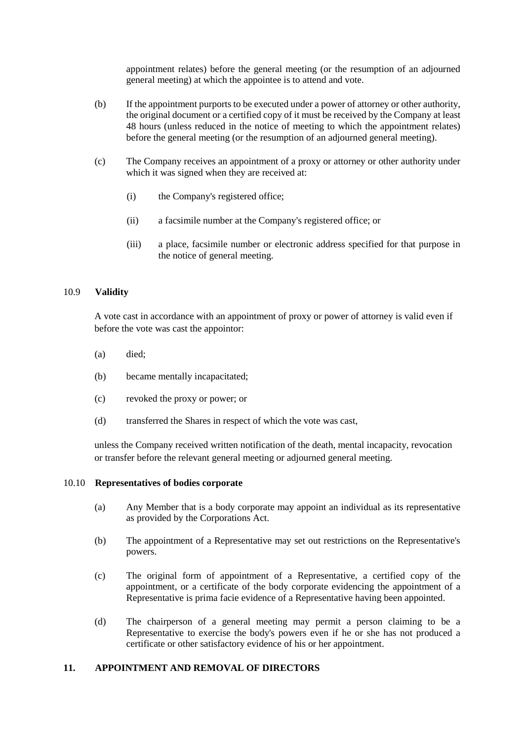appointment relates) before the general meeting (or the resumption of an adjourned general meeting) at which the appointee is to attend and vote.

- (b) If the appointment purports to be executed under a power of attorney or other authority, the original document or a certified copy of it must be received by the Company at least 48 hours (unless reduced in the notice of meeting to which the appointment relates) before the general meeting (or the resumption of an adjourned general meeting).
- (c) The Company receives an appointment of a proxy or attorney or other authority under which it was signed when they are received at:
	- (i) the Company's registered office;
	- (ii) a facsimile number at the Company's registered office; or
	- (iii) a place, facsimile number or electronic address specified for that purpose in the notice of general meeting.

#### 10.9 **Validity**

A vote cast in accordance with an appointment of proxy or power of attorney is valid even if before the vote was cast the appointor:

- (a) died;
- (b) became mentally incapacitated;
- (c) revoked the proxy or power; or
- (d) transferred the Shares in respect of which the vote was cast,

unless the Company received written notification of the death, mental incapacity, revocation or transfer before the relevant general meeting or adjourned general meeting.

# 10.10 **Representatives of bodies corporate**

- (a) Any Member that is a body corporate may appoint an individual as its representative as provided by the Corporations Act.
- (b) The appointment of a Representative may set out restrictions on the Representative's powers.
- (c) The original form of appointment of a Representative, a certified copy of the appointment, or a certificate of the body corporate evidencing the appointment of a Representative is prima facie evidence of a Representative having been appointed.
- (d) The chairperson of a general meeting may permit a person claiming to be a Representative to exercise the body's powers even if he or she has not produced a certificate or other satisfactory evidence of his or her appointment.

#### **11. APPOINTMENT AND REMOVAL OF DIRECTORS**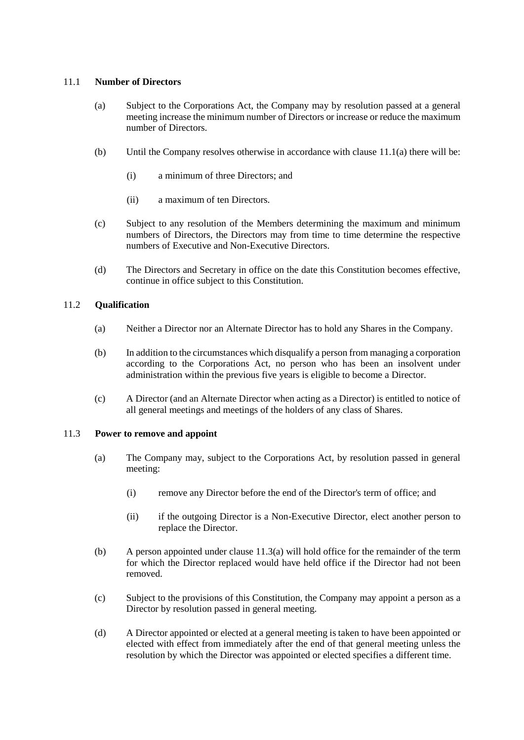#### 11.1 **Number of Directors**

- (a) Subject to the Corporations Act, the Company may by resolution passed at a general meeting increase the minimum number of Directors or increase or reduce the maximum number of Directors.
- (b) Until the Company resolves otherwise in accordance with clause 11.1(a) there will be:
	- (i) a minimum of three Directors; and
	- (ii) a maximum of ten Directors.
- (c) Subject to any resolution of the Members determining the maximum and minimum numbers of Directors, the Directors may from time to time determine the respective numbers of Executive and Non-Executive Directors.
- (d) The Directors and Secretary in office on the date this Constitution becomes effective, continue in office subject to this Constitution.

### 11.2 **Qualification**

- (a) Neither a Director nor an Alternate Director has to hold any Shares in the Company.
- (b) In addition to the circumstances which disqualify a person from managing a corporation according to the Corporations Act, no person who has been an insolvent under administration within the previous five years is eligible to become a Director.
- (c) A Director (and an Alternate Director when acting as a Director) is entitled to notice of all general meetings and meetings of the holders of any class of Shares.

#### 11.3 **Power to remove and appoint**

- (a) The Company may, subject to the Corporations Act, by resolution passed in general meeting:
	- (i) remove any Director before the end of the Director's term of office; and
	- (ii) if the outgoing Director is a Non-Executive Director, elect another person to replace the Director.
- (b) A person appointed under clause 11.3(a) will hold office for the remainder of the term for which the Director replaced would have held office if the Director had not been removed.
- (c) Subject to the provisions of this Constitution, the Company may appoint a person as a Director by resolution passed in general meeting.
- (d) A Director appointed or elected at a general meeting is taken to have been appointed or elected with effect from immediately after the end of that general meeting unless the resolution by which the Director was appointed or elected specifies a different time.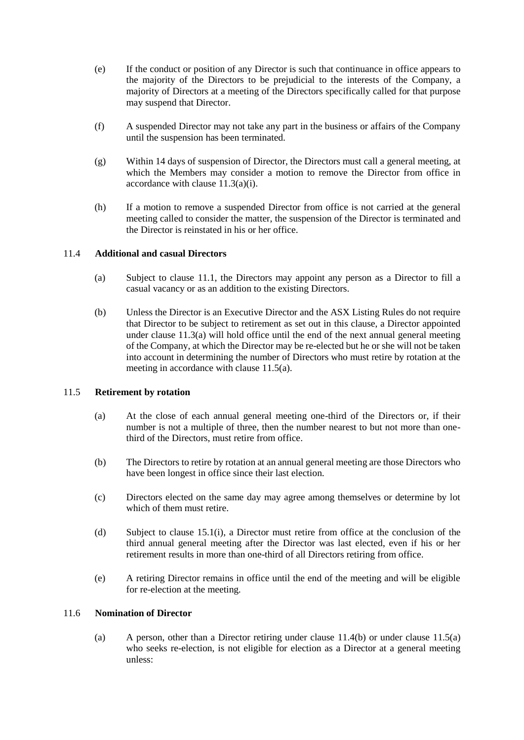- (e) If the conduct or position of any Director is such that continuance in office appears to the majority of the Directors to be prejudicial to the interests of the Company, a majority of Directors at a meeting of the Directors specifically called for that purpose may suspend that Director.
- (f) A suspended Director may not take any part in the business or affairs of the Company until the suspension has been terminated.
- (g) Within 14 days of suspension of Director, the Directors must call a general meeting, at which the Members may consider a motion to remove the Director from office in accordance with clause 11.3(a)(i).
- (h) If a motion to remove a suspended Director from office is not carried at the general meeting called to consider the matter, the suspension of the Director is terminated and the Director is reinstated in his or her office.

#### 11.4 **Additional and casual Directors**

- (a) Subject to clause 11.1, the Directors may appoint any person as a Director to fill a casual vacancy or as an addition to the existing Directors.
- (b) Unless the Director is an Executive Director and the ASX Listing Rules do not require that Director to be subject to retirement as set out in this clause, a Director appointed under clause 11.3(a) will hold office until the end of the next annual general meeting of the Company, at which the Director may be re-elected but he or she will not be taken into account in determining the number of Directors who must retire by rotation at the meeting in accordance with clause 11.5(a).

#### 11.5 **Retirement by rotation**

- (a) At the close of each annual general meeting one-third of the Directors or, if their number is not a multiple of three, then the number nearest to but not more than onethird of the Directors, must retire from office.
- (b) The Directors to retire by rotation at an annual general meeting are those Directors who have been longest in office since their last election.
- (c) Directors elected on the same day may agree among themselves or determine by lot which of them must retire.
- (d) Subject to clause 15.1(i), a Director must retire from office at the conclusion of the third annual general meeting after the Director was last elected, even if his or her retirement results in more than one-third of all Directors retiring from office.
- (e) A retiring Director remains in office until the end of the meeting and will be eligible for re-election at the meeting.

# 11.6 **Nomination of Director**

(a) A person, other than a Director retiring under clause 11.4(b) or under clause 11.5(a) who seeks re-election, is not eligible for election as a Director at a general meeting unless: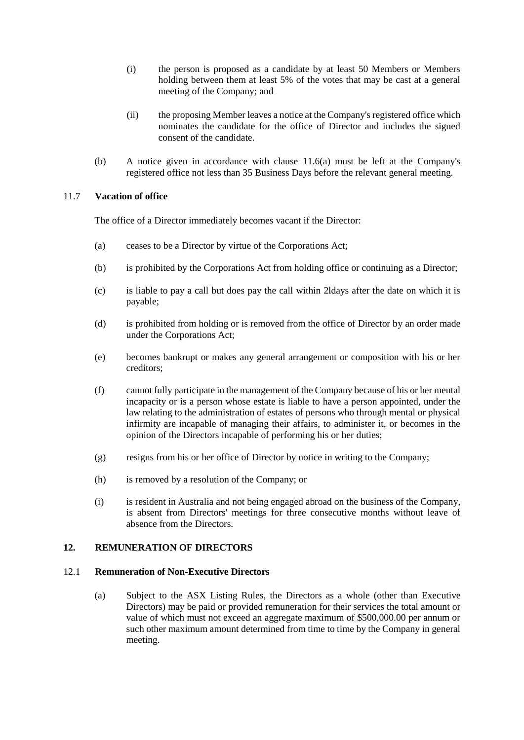- (i) the person is proposed as a candidate by at least 50 Members or Members holding between them at least 5% of the votes that may be cast at a general meeting of the Company; and
- (ii) the proposing Member leaves a notice at the Company's registered office which nominates the candidate for the office of Director and includes the signed consent of the candidate.
- (b) A notice given in accordance with clause 11.6(a) must be left at the Company's registered office not less than 35 Business Days before the relevant general meeting.

### 11.7 **Vacation of office**

The office of a Director immediately becomes vacant if the Director:

- (a) ceases to be a Director by virtue of the Corporations Act;
- (b) is prohibited by the Corporations Act from holding office or continuing as a Director;
- (c) is liable to pay a call but does pay the call within 2ldays after the date on which it is payable;
- (d) is prohibited from holding or is removed from the office of Director by an order made under the Corporations Act;
- (e) becomes bankrupt or makes any general arrangement or composition with his or her creditors;
- (f) cannot fully participate in the management of the Company because of his or her mental incapacity or is a person whose estate is liable to have a person appointed, under the law relating to the administration of estates of persons who through mental or physical infirmity are incapable of managing their affairs, to administer it, or becomes in the opinion of the Directors incapable of performing his or her duties;
- (g) resigns from his or her office of Director by notice in writing to the Company;
- (h) is removed by a resolution of the Company; or
- (i) is resident in Australia and not being engaged abroad on the business of the Company, is absent from Directors' meetings for three consecutive months without leave of absence from the Directors.

#### **12. REMUNERATION OF DIRECTORS**

#### 12.1 **Remuneration of Non-Executive Directors**

(a) Subject to the ASX Listing Rules, the Directors as a whole (other than Executive Directors) may be paid or provided remuneration for their services the total amount or value of which must not exceed an aggregate maximum of \$500,000.00 per annum or such other maximum amount determined from time to time by the Company in general meeting.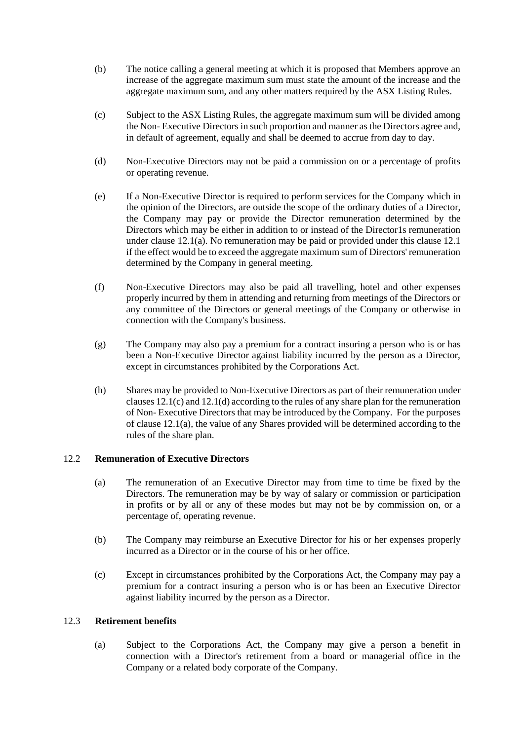- (b) The notice calling a general meeting at which it is proposed that Members approve an increase of the aggregate maximum sum must state the amount of the increase and the aggregate maximum sum, and any other matters required by the ASX Listing Rules.
- (c) Subject to the ASX Listing Rules, the aggregate maximum sum will be divided among the Non- Executive Directors in such proportion and manner as the Directors agree and, in default of agreement, equally and shall be deemed to accrue from day to day.
- (d) Non-Executive Directors may not be paid a commission on or a percentage of profits or operating revenue.
- (e) If a Non-Executive Director is required to perform services for the Company which in the opinion of the Directors, are outside the scope of the ordinary duties of a Director, the Company may pay or provide the Director remuneration determined by the Directors which may be either in addition to or instead of the Director1s remuneration under clause 12.1(a). No remuneration may be paid or provided under this clause 12.1 if the effect would be to exceed the aggregate maximum sum of Directors' remuneration determined by the Company in general meeting.
- (f) Non-Executive Directors may also be paid all travelling, hotel and other expenses properly incurred by them in attending and returning from meetings of the Directors or any committee of the Directors or general meetings of the Company or otherwise in connection with the Company's business.
- (g) The Company may also pay a premium for a contract insuring a person who is or has been a Non-Executive Director against liability incurred by the person as a Director, except in circumstances prohibited by the Corporations Act.
- (h) Shares may be provided to Non-Executive Directors as part of their remuneration under clauses  $12.1(c)$  and  $12.1(d)$  according to the rules of any share plan for the remuneration of Non- Executive Directors that may be introduced by the Company. For the purposes of clause 12.1(a), the value of any Shares provided will be determined according to the rules of the share plan.

#### 12.2 **Remuneration of Executive Directors**

- (a) The remuneration of an Executive Director may from time to time be fixed by the Directors. The remuneration may be by way of salary or commission or participation in profits or by all or any of these modes but may not be by commission on, or a percentage of, operating revenue.
- (b) The Company may reimburse an Executive Director for his or her expenses properly incurred as a Director or in the course of his or her office.
- (c) Except in circumstances prohibited by the Corporations Act, the Company may pay a premium for a contract insuring a person who is or has been an Executive Director against liability incurred by the person as a Director.

#### 12.3 **Retirement benefits**

(a) Subject to the Corporations Act, the Company may give a person a benefit in connection with a Director's retirement from a board or managerial office in the Company or a related body corporate of the Company.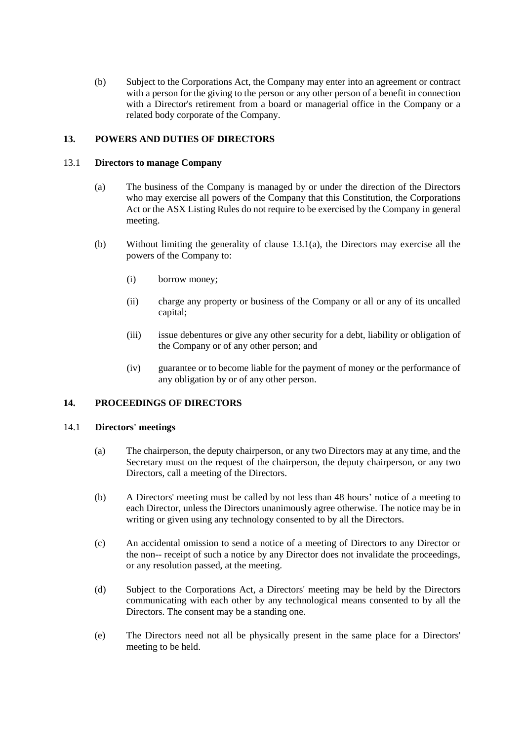(b) Subject to the Corporations Act, the Company may enter into an agreement or contract with a person for the giving to the person or any other person of a benefit in connection with a Director's retirement from a board or managerial office in the Company or a related body corporate of the Company.

# **13. POWERS AND DUTIES OF DIRECTORS**

#### 13.1 **Directors to manage Company**

- (a) The business of the Company is managed by or under the direction of the Directors who may exercise all powers of the Company that this Constitution, the Corporations Act or the ASX Listing Rules do not require to be exercised by the Company in general meeting.
- (b) Without limiting the generality of clause  $13.1(a)$ , the Directors may exercise all the powers of the Company to:
	- (i) borrow money;
	- (ii) charge any property or business of the Company or all or any of its uncalled capital;
	- (iii) issue debentures or give any other security for a debt, liability or obligation of the Company or of any other person; and
	- (iv) guarantee or to become liable for the payment of money or the performance of any obligation by or of any other person.

# **14. PROCEEDINGS OF DIRECTORS**

#### 14.1 **Directors' meetings**

- (a) The chairperson, the deputy chairperson, or any two Directors may at any time, and the Secretary must on the request of the chairperson, the deputy chairperson, or any two Directors, call a meeting of the Directors.
- (b) A Directors' meeting must be called by not less than 48 hours' notice of a meeting to each Director, unless the Directors unanimously agree otherwise. The notice may be in writing or given using any technology consented to by all the Directors.
- (c) An accidental omission to send a notice of a meeting of Directors to any Director or the non-- receipt of such a notice by any Director does not invalidate the proceedings, or any resolution passed, at the meeting.
- (d) Subject to the Corporations Act, a Directors' meeting may be held by the Directors communicating with each other by any technological means consented to by all the Directors. The consent may be a standing one.
- (e) The Directors need not all be physically present in the same place for a Directors' meeting to be held.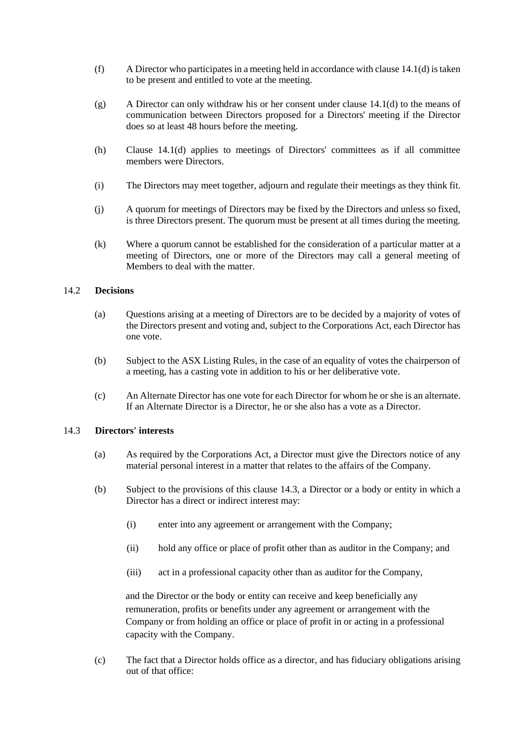- (f) A Director who participates in a meeting held in accordance with clause  $14.1(d)$  is taken to be present and entitled to vote at the meeting.
- (g) A Director can only withdraw his or her consent under clause 14.1(d) to the means of communication between Directors proposed for a Directors' meeting if the Director does so at least 48 hours before the meeting.
- (h) Clause 14.1(d) applies to meetings of Directors' committees as if all committee members were Directors.
- (i) The Directors may meet together, adjourn and regulate their meetings as they think fit.
- (j) A quorum for meetings of Directors may be fixed by the Directors and unless so fixed, is three Directors present. The quorum must be present at all times during the meeting.
- (k) Where a quorum cannot be established for the consideration of a particular matter at a meeting of Directors, one or more of the Directors may call a general meeting of Members to deal with the matter.

#### 14.2 **Decisions**

- (a) Questions arising at a meeting of Directors are to be decided by a majority of votes of the Directors present and voting and, subject to the Corporations Act, each Director has one vote.
- (b) Subject to the ASX Listing Rules, in the case of an equality of votes the chairperson of a meeting, has a casting vote in addition to his or her deliberative vote.
- (c) An Alternate Director has one vote for each Director for whom he or she is an alternate. If an Alternate Director is a Director, he or she also has a vote as a Director.

#### 14.3 **Directors' interests**

- (a) As required by the Corporations Act, a Director must give the Directors notice of any material personal interest in a matter that relates to the affairs of the Company.
- (b) Subject to the provisions of this clause 14.3, a Director or a body or entity in which a Director has a direct or indirect interest may:
	- (i) enter into any agreement or arrangement with the Company;
	- (ii) hold any office or place of profit other than as auditor in the Company; and
	- (iii) act in a professional capacity other than as auditor for the Company,

and the Director or the body or entity can receive and keep beneficially any remuneration, profits or benefits under any agreement or arrangement with the Company or from holding an office or place of profit in or acting in a professional capacity with the Company.

(c) The fact that a Director holds office as a director, and has fiduciary obligations arising out of that office: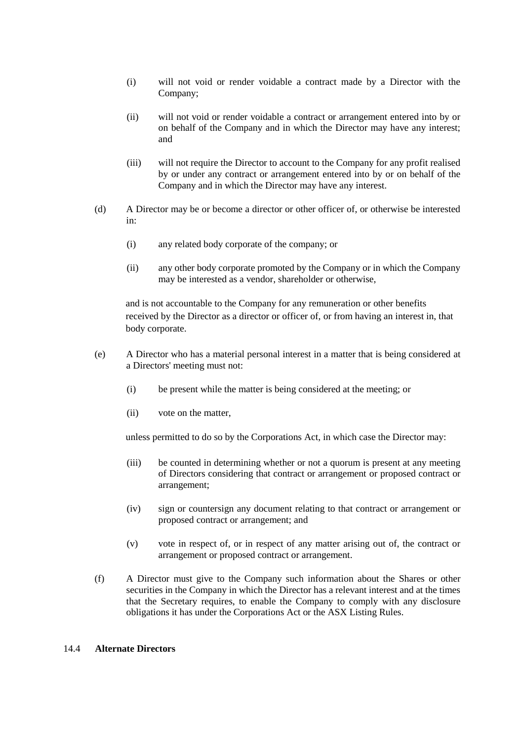- (i) will not void or render voidable a contract made by a Director with the Company;
- (ii) will not void or render voidable a contract or arrangement entered into by or on behalf of the Company and in which the Director may have any interest; and
- (iii) will not require the Director to account to the Company for any profit realised by or under any contract or arrangement entered into by or on behalf of the Company and in which the Director may have any interest.
- (d) A Director may be or become a director or other officer of, or otherwise be interested in:
	- (i) any related body corporate of the company; or
	- (ii) any other body corporate promoted by the Company or in which the Company may be interested as a vendor, shareholder or otherwise,

and is not accountable to the Company for any remuneration or other benefits received by the Director as a director or officer of, or from having an interest in, that body corporate.

- (e) A Director who has a material personal interest in a matter that is being considered at a Directors' meeting must not:
	- (i) be present while the matter is being considered at the meeting; or
	- (ii) vote on the matter,

unless permitted to do so by the Corporations Act, in which case the Director may:

- (iii) be counted in determining whether or not a quorum is present at any meeting of Directors considering that contract or arrangement or proposed contract or arrangement;
- (iv) sign or countersign any document relating to that contract or arrangement or proposed contract or arrangement; and
- (v) vote in respect of, or in respect of any matter arising out of, the contract or arrangement or proposed contract or arrangement.
- (f) A Director must give to the Company such information about the Shares or other securities in the Company in which the Director has a relevant interest and at the times that the Secretary requires, to enable the Company to comply with any disclosure obligations it has under the Corporations Act or the ASX Listing Rules.

#### 14.4 **Alternate Directors**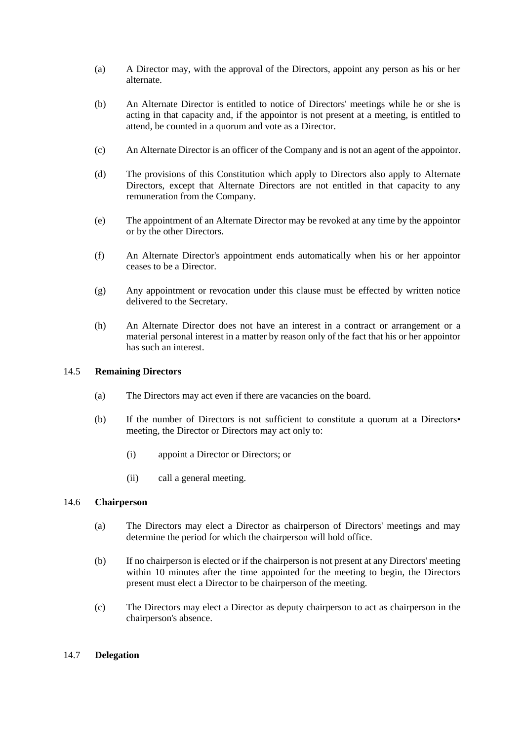- (a) A Director may, with the approval of the Directors, appoint any person as his or her alternate.
- (b) An Alternate Director is entitled to notice of Directors' meetings while he or she is acting in that capacity and, if the appointor is not present at a meeting, is entitled to attend, be counted in a quorum and vote as a Director.
- (c) An Alternate Director is an officer of the Company and is not an agent of the appointor.
- (d) The provisions of this Constitution which apply to Directors also apply to Alternate Directors, except that Alternate Directors are not entitled in that capacity to any remuneration from the Company.
- (e) The appointment of an Alternate Director may be revoked at any time by the appointor or by the other Directors.
- (f) An Alternate Director's appointment ends automatically when his or her appointor ceases to be a Director.
- (g) Any appointment or revocation under this clause must be effected by written notice delivered to the Secretary.
- (h) An Alternate Director does not have an interest in a contract or arrangement or a material personal interest in a matter by reason only of the fact that his or her appointor has such an interest.

# 14.5 **Remaining Directors**

- (a) The Directors may act even if there are vacancies on the board.
- (b) If the number of Directors is not sufficient to constitute a quorum at a Directors• meeting, the Director or Directors may act only to:
	- (i) appoint a Director or Directors; or
	- (ii) call a general meeting.

### 14.6 **Chairperson**

- (a) The Directors may elect a Director as chairperson of Directors' meetings and may determine the period for which the chairperson will hold office.
- (b) If no chairperson is elected or if the chairperson is not present at any Directors' meeting within 10 minutes after the time appointed for the meeting to begin, the Directors present must elect a Director to be chairperson of the meeting.
- (c) The Directors may elect a Director as deputy chairperson to act as chairperson in the chairperson's absence.

#### 14.7 **Delegation**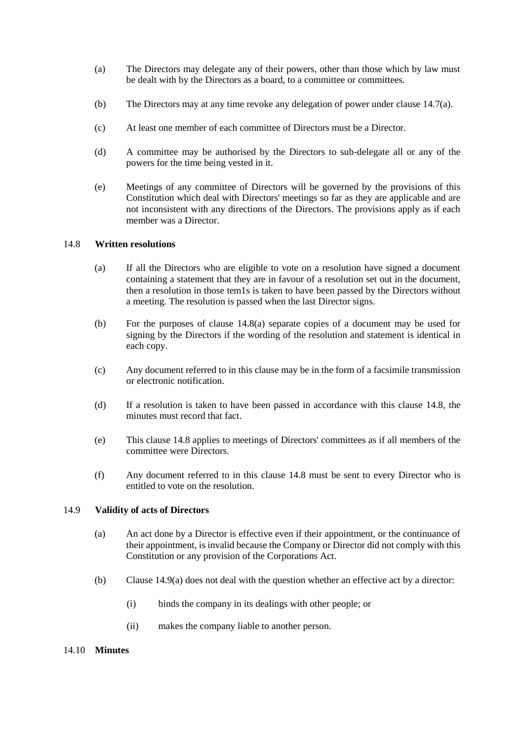- (a) The Directors may delegate any of their powers, other than those which by law must be dealt with by the Directors as a board, to a committee or committees.
- (b) The Directors may at any time revoke any delegation of power under clause 14.7(a).
- (c) At least one member of each committee of Directors must be a Director.
- (d) A committee may be authorised by the Directors to sub-delegate all or any of the powers for the time being vested in it.
- (e) Meetings of any committee of Directors will be governed by the provisions of this Constitution which deal with Directors' meetings so far as they are applicable and are not inconsistent with any directions of the Directors. The provisions apply as if each member was a Director.

#### 14.8 **Written resolutions**

- (a) If all the Directors who are eligible to vote on a resolution have signed a document containing a statement that they are in favour of a resolution set out in the document, then a resolution in those tem1s is taken to have been passed by the Directors without a meeting. The resolution is passed when the last Director signs.
- (b) For the purposes of clause 14.8(a) separate copies of a document may be used for signing by the Directors if the wording of the resolution and statement is identical in each copy.
- (c) Any document referred to in this clause may be in the form of a facsimile transmission or electronic notification.
- (d) If a resolution is taken to have been passed in accordance with this clause 14.8, the minutes must record that fact.
- (e) This clause 14.8 applies to meetings of Directors' committees as if all members of the committee were Directors.
- (f) Any document referred to in this clause 14.8 must be sent to every Director who is entitled to vote on the resolution.

#### 14.9 **Validity of acts of Directors**

- (a) An act done by a Director is effective even if their appointment, or the continuance of their appointment, is invalid because the Company or Director did not comply with this Constitution or any provision of the Corporations Act.
- (b) Clause 14.9(a) does not deal with the question whether an effective act by a director:
	- (i) binds the company in its dealings with other people; or
	- (ii) makes the company liable to another person.

#### 14.10 **Minutes**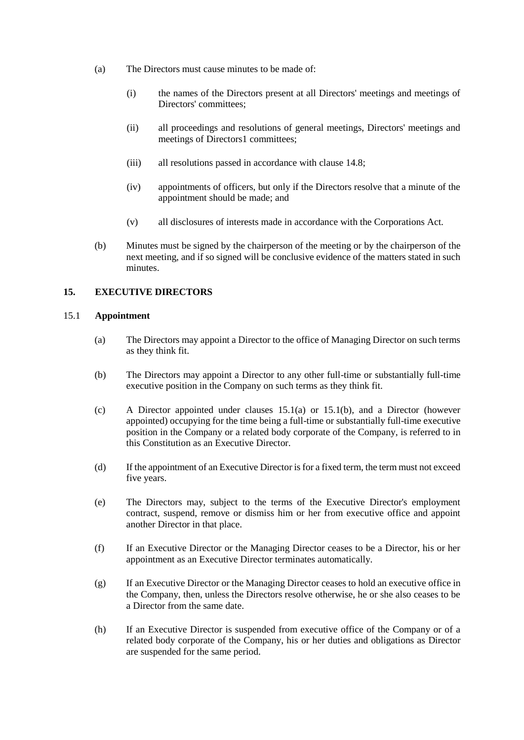- (a) The Directors must cause minutes to be made of:
	- (i) the names of the Directors present at all Directors' meetings and meetings of Directors' committees;
	- (ii) all proceedings and resolutions of general meetings, Directors' meetings and meetings of Directors1 committees;
	- (iii) all resolutions passed in accordance with clause 14.8;
	- (iv) appointments of officers, but only if the Directors resolve that a minute of the appointment should be made; and
	- (v) all disclosures of interests made in accordance with the Corporations Act.
- (b) Minutes must be signed by the chairperson of the meeting or by the chairperson of the next meeting, and if so signed will be conclusive evidence of the matters stated in such minutes.

#### **15. EXECUTIVE DIRECTORS**

#### <span id="page-37-0"></span>15.1 **Appointment**

- (a) The Directors may appoint a Director to the office of Managing Director on such terms as they think fit.
- (b) The Directors may appoint a Director to any other full-time or substantially full-time executive position in the Company on such terms as they think fit.
- (c) A Director appointed under clauses 15.1(a) or 15.1(b), and a Director (however appointed) occupying for the time being a full-time or substantially full-time executive position in the Company or a related body corporate of the Company, is referred to in this Constitution as an Executive Director.
- (d) If the appointment of an Executive Director is for a fixed term, the term must not exceed five years.
- (e) The Directors may, subject to the terms of the Executive Director's employment contract, suspend, remove or dismiss him or her from executive office and appoint another Director in that place.
- (f) If an Executive Director or the Managing Director ceases to be a Director, his or her appointment as an Executive Director terminates automatically.
- (g) If an Executive Director or the Managing Director ceases to hold an executive office in the Company, then, unless the Directors resolve otherwise, he or she also ceases to be a Director from the same date.
- (h) If an Executive Director is suspended from executive office of the Company or of a related body corporate of the Company, his or her duties and obligations as Director are suspended for the same period.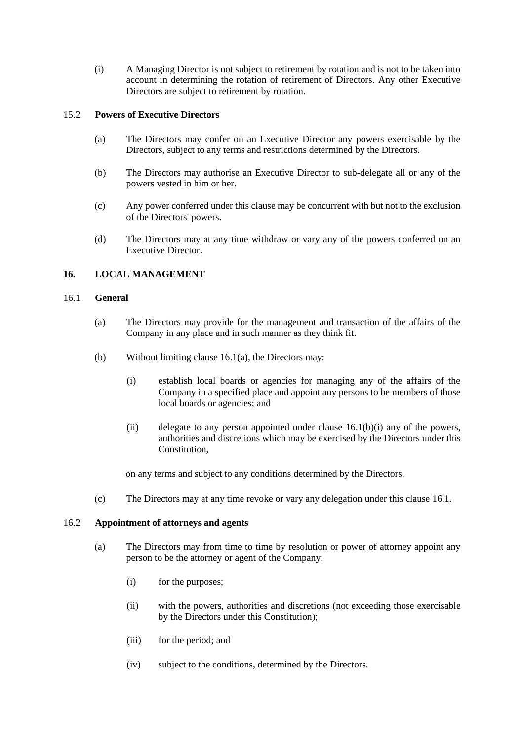(i) A Managing Director is not subject to retirement by rotation and is not to be taken into account in determining the rotation of retirement of Directors. Any other Executive Directors are subject to retirement by rotation.

#### 15.2 **Powers of Executive Directors**

- (a) The Directors may confer on an Executive Director any powers exercisable by the Directors, subject to any terms and restrictions determined by the Directors.
- (b) The Directors may authorise an Executive Director to sub-delegate all or any of the powers vested in him or her.
- (c) Any power conferred under this clause may be concurrent with but not to the exclusion of the Directors' powers.
- (d) The Directors may at any time withdraw or vary any of the powers conferred on an Executive Director.

### **16. LOCAL MANAGEMENT**

#### 16.1 **General**

- (a) The Directors may provide for the management and transaction of the affairs of the Company in any place and in such manner as they think fit.
- (b) Without limiting clause 16.1(a), the Directors may:
	- (i) establish local boards or agencies for managing any of the affairs of the Company in a specified place and appoint any persons to be members of those local boards or agencies; and
	- (ii) delegate to any person appointed under clause  $16.1(b)(i)$  any of the powers, authorities and discretions which may be exercised by the Directors under this **Constitution**

on any terms and subject to any conditions determined by the Directors.

(c) The Directors may at any time revoke or vary any delegation under this clause 16.1.

#### 16.2 **Appointment of attorneys and agents**

- (a) The Directors may from time to time by resolution or power of attorney appoint any person to be the attorney or agent of the Company:
	- (i) for the purposes;
	- (ii) with the powers, authorities and discretions (not exceeding those exercisable by the Directors under this Constitution);
	- (iii) for the period; and
	- (iv) subject to the conditions, determined by the Directors.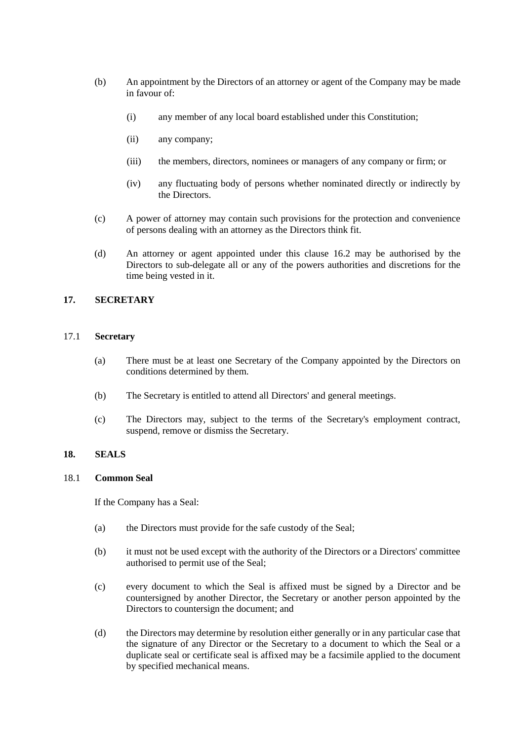- (b) An appointment by the Directors of an attorney or agent of the Company may be made in favour of:
	- (i) any member of any local board established under this Constitution;
	- (ii) any company;
	- (iii) the members, directors, nominees or managers of any company or firm; or
	- (iv) any fluctuating body of persons whether nominated directly or indirectly by the Directors.
- (c) A power of attorney may contain such provisions for the protection and convenience of persons dealing with an attorney as the Directors think fit.
- (d) An attorney or agent appointed under this clause 16.2 may be authorised by the Directors to sub-delegate all or any of the powers authorities and discretions for the time being vested in it.

#### **17. SECRETARY**

#### 17.1 **Secretary**

- (a) There must be at least one Secretary of the Company appointed by the Directors on conditions determined by them.
- (b) The Secretary is entitled to attend all Directors' and general meetings.
- (c) The Directors may, subject to the terms of the Secretary's employment contract, suspend, remove or dismiss the Secretary.

## **18. SEALS**

#### 18.1 **Common Seal**

If the Company has a Seal:

- (a) the Directors must provide for the safe custody of the Seal;
- (b) it must not be used except with the authority of the Directors or a Directors' committee authorised to permit use of the Seal;
- (c) every document to which the Seal is affixed must be signed by a Director and be countersigned by another Director, the Secretary or another person appointed by the Directors to countersign the document; and
- (d) the Directors may determine by resolution either generally or in any particular case that the signature of any Director or the Secretary to a document to which the Seal or a duplicate seal or certificate seal is affixed may be a facsimile applied to the document by specified mechanical means.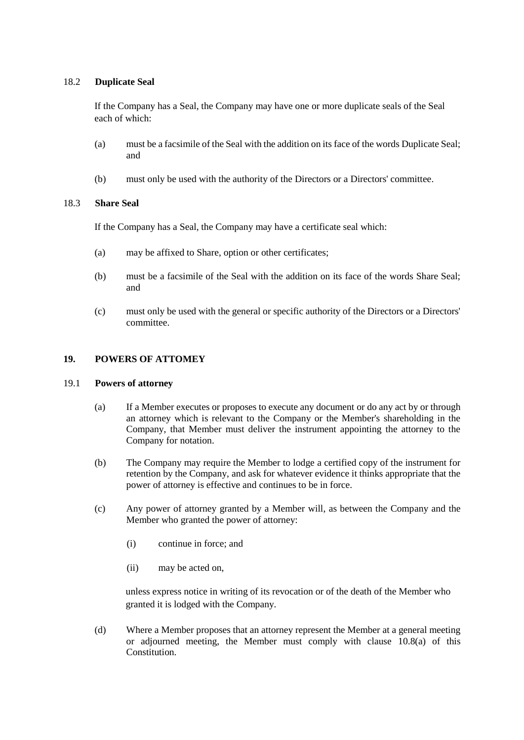### 18.2 **Duplicate Seal**

If the Company has a Seal, the Company may have one or more duplicate seals of the Seal each of which:

- (a) must be a facsimile of the Seal with the addition on its face of the words Duplicate Seal; and
- (b) must only be used with the authority of the Directors or a Directors' committee.

### 18.3 **Share Seal**

If the Company has a Seal, the Company may have a certificate seal which:

- (a) may be affixed to Share, option or other certificates;
- (b) must be a facsimile of the Seal with the addition on its face of the words Share Seal; and
- (c) must only be used with the general or specific authority of the Directors or a Directors' committee.

### **19. POWERS OF ATTOMEY**

#### 19.1 **Powers of attorney**

- (a) If a Member executes or proposes to execute any document or do any act by or through an attorney which is relevant to the Company or the Member's shareholding in the Company, that Member must deliver the instrument appointing the attorney to the Company for notation.
- (b) The Company may require the Member to lodge a certified copy of the instrument for retention by the Company, and ask for whatever evidence it thinks appropriate that the power of attorney is effective and continues to be in force.
- (c) Any power of attorney granted by a Member will, as between the Company and the Member who granted the power of attorney:
	- (i) continue in force; and
	- (ii) may be acted on,

unless express notice in writing of its revocation or of the death of the Member who granted it is lodged with the Company.

(d) Where a Member proposes that an attorney represent the Member at a general meeting or adjourned meeting, the Member must comply with clause 10.8(a) of this **Constitution**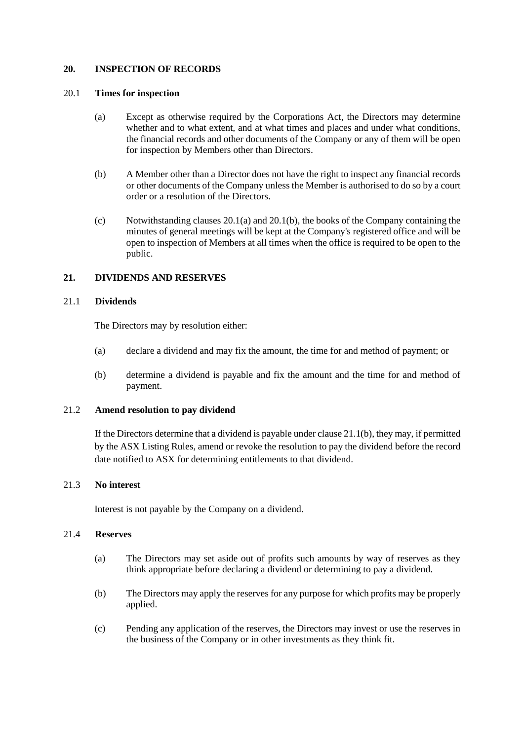#### **20. INSPECTION OF RECORDS**

#### <span id="page-41-0"></span>20.1 **Times for inspection**

- (a) Except as otherwise required by the Corporations Act, the Directors may determine whether and to what extent, and at what times and places and under what conditions, the financial records and other documents of the Company or any of them will be open for inspection by Members other than Directors.
- <span id="page-41-1"></span>(b) A Member other than a Director does not have the right to inspect any financial records or other documents of the Company unless the Member is authorised to do so by a court order or a resolution of the Directors.
- (c) Notwithstanding clauses [20.1\(a\)](#page-41-0) and [20.1\(b\),](#page-41-1) the books of the Company containing the minutes of general meetings will be kept at the Company's registered office and will be open to inspection of Members at all times when the office is required to be open to the public.

## **21. DIVIDENDS AND RESERVES**

#### 21.1 **Dividends**

The Directors may by resolution either:

- (a) declare a dividend and may fix the amount, the time for and method of payment; or
- <span id="page-41-2"></span>(b) determine a dividend is payable and fix the amount and the time for and method of payment.

#### 21.2 **Amend resolution to pay dividend**

If the Directors determine that a dividend is payable under clause [21.1\(b\),](#page-41-2) they may, if permitted by the ASX Listing Rules, amend or revoke the resolution to pay the dividend before the record date notified to ASX for determining entitlements to that dividend.

#### 21.3 **No interest**

Interest is not payable by the Company on a dividend.

#### 21.4 **Reserves**

- (a) The Directors may set aside out of profits such amounts by way of reserves as they think appropriate before declaring a dividend or determining to pay a dividend.
- (b) The Directors may apply the reserves for any purpose for which profits may be properly applied.
- (c) Pending any application of the reserves, the Directors may invest or use the reserves in the business of the Company or in other investments as they think fit.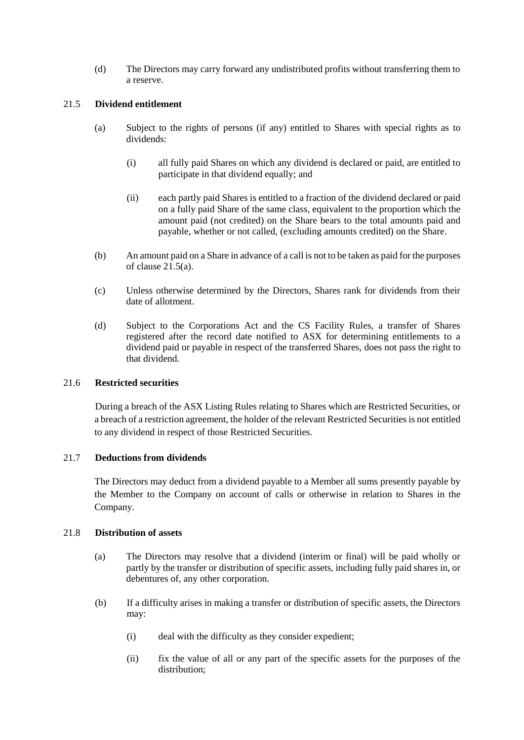(d) The Directors may carry forward any undistributed profits without transferring them to a reserve.

#### <span id="page-42-0"></span>21.5 **Dividend entitlement**

- (a) Subject to the rights of persons (if any) entitled to Shares with special rights as to dividends:
	- (i) all fully paid Shares on which any dividend is declared or paid, are entitled to participate in that dividend equally; and
	- (ii) each partly paid Shares is entitled to a fraction of the dividend declared or paid on a fully paid Share of the same class, equivalent to the proportion which the amount paid (not credited) on the Share bears to the total amounts paid and payable, whether or not called, (excluding amounts credited) on the Share.
- (b) An amount paid on a Share in advance of a call is not to be taken as paid for the purposes of clause  $2\overline{1}$ .5(a).
- (c) Unless otherwise determined by the Directors, Shares rank for dividends from their date of allotment.
- (d) Subject to the Corporations Act and the CS Facility Rules, a transfer of Shares registered after the record date notified to ASX for determining entitlements to a dividend paid or payable in respect of the transferred Shares, does not pass the right to that dividend.

#### 21.6 **Restricted securities**

During a breach of the ASX Listing Rules relating to Shares which are Restricted Securities, or a breach of a restriction agreement, the holder of the relevant Restricted Securities is not entitled to any dividend in respect of those Restricted Securities.

#### 21.7 **Deductions from dividends**

The Directors may deduct from a dividend payable to a Member all sums presently payable by the Member to the Company on account of calls or otherwise in relation to Shares in the Company.

#### 21.8 **Distribution of assets**

- (a) The Directors may resolve that a dividend (interim or final) will be paid wholly or partly by the transfer or distribution of specific assets, including fully paid shares in, or debentures of, any other corporation.
- (b) If a difficulty arises in making a transfer or distribution of specific assets, the Directors may:
	- (i) deal with the difficulty as they consider expedient;
	- (ii) fix the value of all or any part of the specific assets for the purposes of the distribution;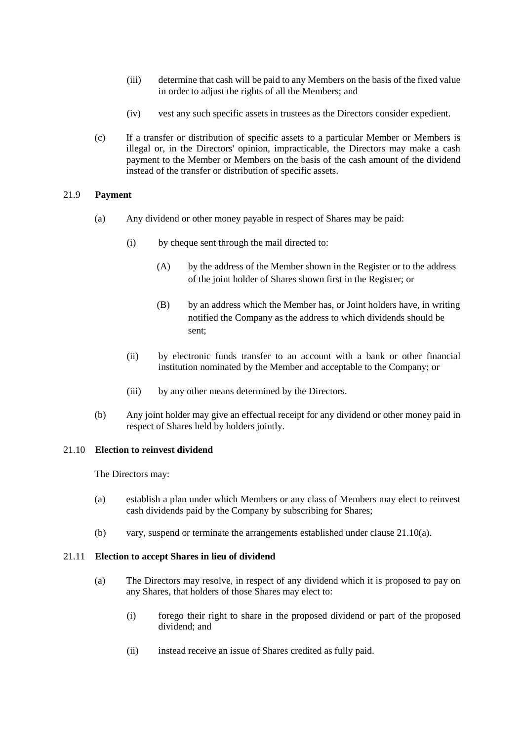- (iii) determine that cash will be paid to any Members on the basis of the fixed value in order to adjust the rights of all the Members; and
- (iv) vest any such specific assets in trustees as the Directors consider expedient.
- (c) If a transfer or distribution of specific assets to a particular Member or Members is illegal or, in the Directors' opinion, impracticable, the Directors may make a cash payment to the Member or Members on the basis of the cash amount of the dividend instead of the transfer or distribution of specific assets.

#### 21.9 **Payment**

- (a) Any dividend or other money payable in respect of Shares may be paid:
	- (i) by cheque sent through the mail directed to:
		- (A) by the address of the Member shown in the Register or to the address of the joint holder of Shares shown first in the Register; or
		- (B) by an address which the Member has, or Joint holders have, in writing notified the Company as the address to which dividends should be sent;
	- (ii) by electronic funds transfer to an account with a bank or other financial institution nominated by the Member and acceptable to the Company; or
	- (iii) by any other means determined by the Directors.
- (b) Any joint holder may give an effectual receipt for any dividend or other money paid in respect of Shares held by holders jointly.

#### 21.10 **Election to reinvest dividend**

The Directors may:

- <span id="page-43-0"></span>(a) establish a plan under which Members or any class of Members may elect to reinvest cash dividends paid by the Company by subscribing for Shares;
- (b) vary, suspend or terminate the arrangements established under clause [21.10\(a\).](#page-43-0)

#### <span id="page-43-3"></span><span id="page-43-1"></span>21.11 **Election to accept Shares in lieu of dividend**

- <span id="page-43-2"></span>(a) The Directors may resolve, in respect of any dividend which it is proposed to pay on any Shares, that holders of those Shares may elect to:
	- (i) forego their right to share in the proposed dividend or part of the proposed dividend; and
	- (ii) instead receive an issue of Shares credited as fully paid.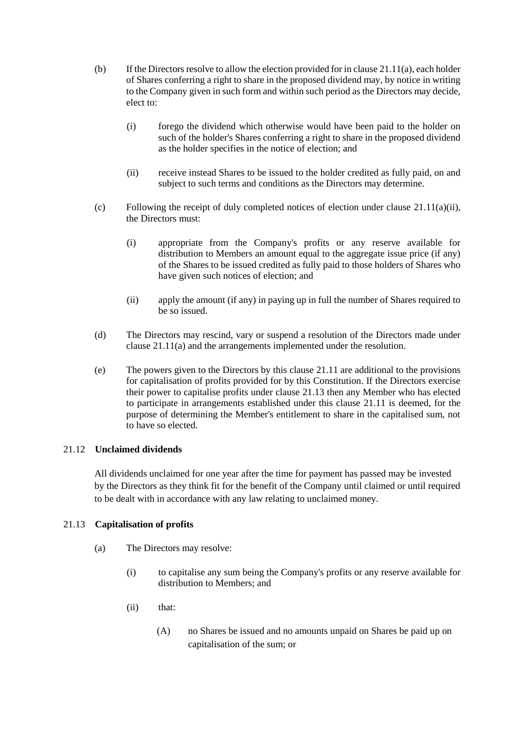- (b) If the Directors resolve to allow the election provided for in clause  $21.11(a)$ , each holder of Shares conferring a right to share in the proposed dividend may, by notice in writing to the Company given in such form and within such period as the Directors may decide, elect to:
	- (i) forego the dividend which otherwise would have been paid to the holder on such of the holder's Shares conferring a right to share in the proposed dividend as the holder specifies in the notice of election; and
	- (ii) receive instead Shares to be issued to the holder credited as fully paid, on and subject to such terms and conditions as the Directors may determine.
- (c) Following the receipt of duly completed notices of election under clause  $21.11(a)(ii)$ , the Directors must:
	- (i) appropriate from the Company's profits or any reserve available for distribution to Members an amount equal to the aggregate issue price (if any) of the Shares to be issued credited as fully paid to those holders of Shares who have given such notices of election; and
	- (ii) apply the amount (if any) in paying up in full the number of Shares required to be so issued.
- (d) The Directors may rescind, vary or suspend a resolution of the Directors made under claus[e 21.11\(a\)](#page-43-1) and the arrangements implemented under the resolution.
- (e) The powers given to the Directors by this clause [21.11](#page-43-3) are additional to the provisions for capitalisation of profits provided for by this Constitution. If the Directors exercise their power to capitalise profits under clause [21.13](#page-44-0) then any Member who has elected to participate in arrangements established under this clause [21.11](#page-43-3) is deemed, for the purpose of determining the Member's entitlement to share in the capitalised sum, not to have so elected.

#### 21.12 **Unclaimed dividends**

All dividends unclaimed for one year after the time for payment has passed may be invested by the Directors as they think fit for the benefit of the Company until claimed or until required to be dealt with in accordance with any law relating to unclaimed money.

# <span id="page-44-0"></span>21.13 **Capitalisation of profits**

- <span id="page-44-1"></span>(a) The Directors may resolve:
	- (i) to capitalise any sum being the Company's profits or any reserve available for distribution to Members; and
	- (ii) that:
		- (A) no Shares be issued and no amounts unpaid on Shares be paid up on capitalisation of the sum; or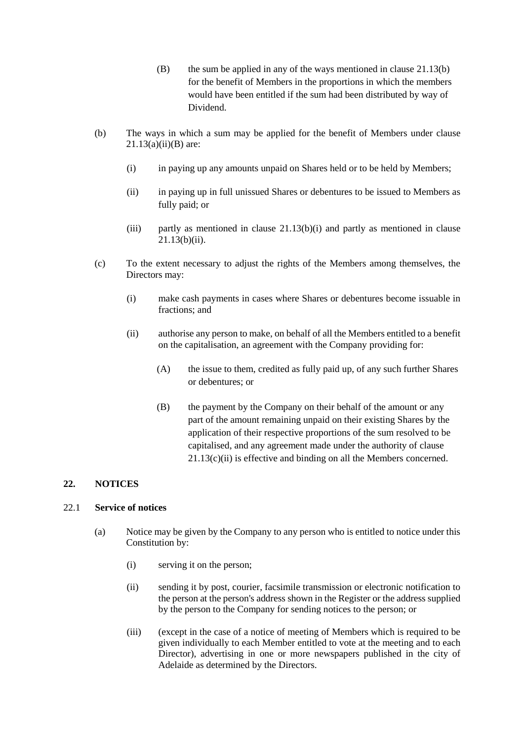- $(B)$  the sum be applied in any of the ways mentioned in clause [21.13\(b\)](#page-45-0) for the benefit of Members in the proportions in which the members would have been entitled if the sum had been distributed by way of Dividend.
- <span id="page-45-3"></span><span id="page-45-2"></span><span id="page-45-1"></span><span id="page-45-0"></span>(b) The ways in which a sum may be applied for the benefit of Members under clause  $21.13(a)(ii)(B)$  $21.13(a)(ii)(B)$  are:
	- (i) in paying up any amounts unpaid on Shares held or to be held by Members;
	- (ii) in paying up in full unissued Shares or debentures to be issued to Members as fully paid; or
	- (iii) partly as mentioned in clause  $21.13(b)(i)$  and partly as mentioned in clause [21.13\(b\)\(ii\).](#page-45-3)
- <span id="page-45-4"></span>(c) To the extent necessary to adjust the rights of the Members among themselves, the Directors may:
	- (i) make cash payments in cases where Shares or debentures become issuable in fractions; and
	- (ii) authorise any person to make, on behalf of all the Members entitled to a benefit on the capitalisation, an agreement with the Company providing for:
		- (A) the issue to them, credited as fully paid up, of any such further Shares or debentures; or
		- (B) the payment by the Company on their behalf of the amount or any part of the amount remaining unpaid on their existing Shares by the application of their respective proportions of the sum resolved to be capitalised, and any agreement made under the authority of clause [21.13\(c\)\(ii\)](#page-45-4) is effective and binding on all the Members concerned.

# <span id="page-45-7"></span>**22. NOTICES**

# 22.1 **Service of notices**

- <span id="page-45-6"></span><span id="page-45-5"></span>(a) Notice may be given by the Company to any person who is entitled to notice under this Constitution by:
	- (i) serving it on the person;
	- (ii) sending it by post, courier, facsimile transmission or electronic notification to the person at the person's address shown in the Register or the address supplied by the person to the Company for sending notices to the person; or
	- (iii) (except in the case of a notice of meeting of Members which is required to be given individually to each Member entitled to vote at the meeting and to each Director), advertising in one or more newspapers published in the city of Adelaide as determined by the Directors.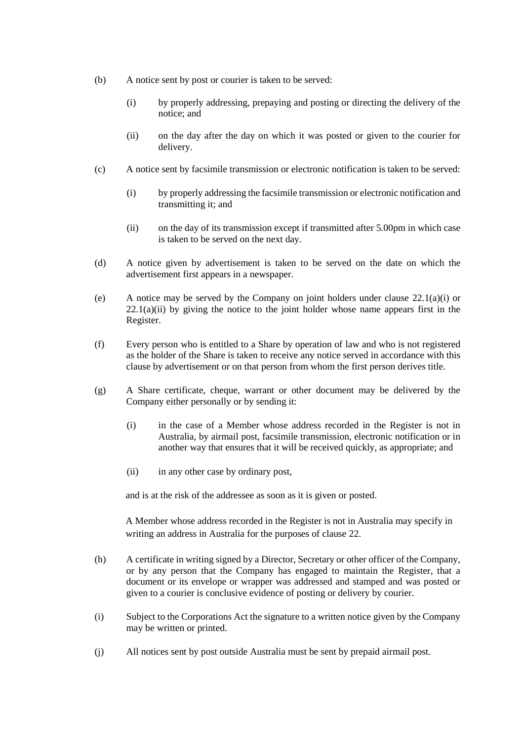- (b) A notice sent by post or courier is taken to be served:
	- (i) by properly addressing, prepaying and posting or directing the delivery of the notice; and
	- (ii) on the day after the day on which it was posted or given to the courier for delivery.
- (c) A notice sent by facsimile transmission or electronic notification is taken to be served:
	- (i) by properly addressing the facsimile transmission or electronic notification and transmitting it; and
	- (ii) on the day of its transmission except if transmitted after 5.00pm in which case is taken to be served on the next day.
- (d) A notice given by advertisement is taken to be served on the date on which the advertisement first appears in a newspaper.
- (e) A notice may be served by the Company on joint holders under clause  $22.1(a)(i)$  or  $22.1(a)(ii)$  by giving the notice to the joint holder whose name appears first in the Register.
- (f) Every person who is entitled to a Share by operation of law and who is not registered as the holder of the Share is taken to receive any notice served in accordance with this clause by advertisement or on that person from whom the first person derives title.
- (g) A Share certificate, cheque, warrant or other document may be delivered by the Company either personally or by sending it:
	- (i) in the case of a Member whose address recorded in the Register is not in Australia, by airmail post, facsimile transmission, electronic notification or in another way that ensures that it will be received quickly, as appropriate; and
	- (ii) in any other case by ordinary post,

and is at the risk of the addressee as soon as it is given or posted.

A Member whose address recorded in the Register is not in Australia may specify in writing an address in Australia for the purposes of clause [22.](#page-45-7)

- (h) A certificate in writing signed by a Director, Secretary or other officer of the Company, or by any person that the Company has engaged to maintain the Register, that a document or its envelope or wrapper was addressed and stamped and was posted or given to a courier is conclusive evidence of posting or delivery by courier.
- (i) Subject to the Corporations Act the signature to a written notice given by the Company may be written or printed.
- (j) All notices sent by post outside Australia must be sent by prepaid airmail post.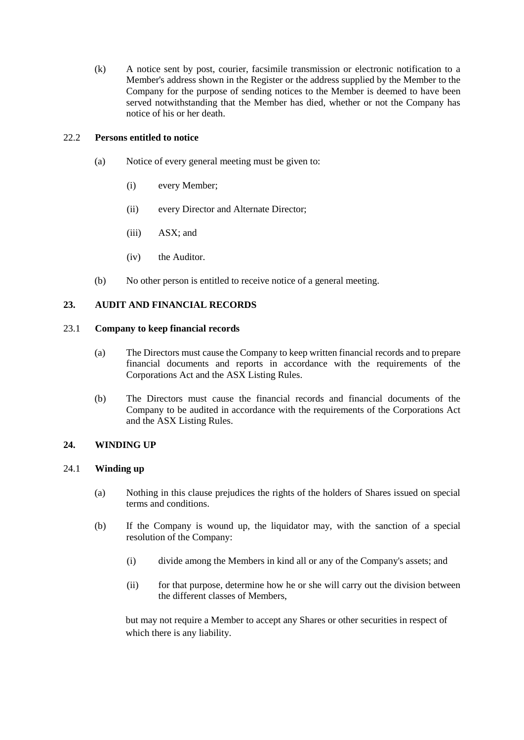(k) A notice sent by post, courier, facsimile transmission or electronic notification to a Member's address shown in the Register or the address supplied by the Member to the Company for the purpose of sending notices to the Member is deemed to have been served notwithstanding that the Member has died, whether or not the Company has notice of his or her death.

### <span id="page-47-0"></span>22.2 **Persons entitled to notice**

- (a) Notice of every general meeting must be given to:
	- (i) every Member;
	- (ii) every Director and Alternate Director;
	- (iii) ASX; and
	- (iv) the Auditor.
- (b) No other person is entitled to receive notice of a general meeting.

# **23. AUDIT AND FINANCIAL RECORDS**

#### 23.1 **Company to keep financial records**

- (a) The Directors must cause the Company to keep written financial records and to prepare financial documents and reports in accordance with the requirements of the Corporations Act and the ASX Listing Rules.
- (b) The Directors must cause the financial records and financial documents of the Company to be audited in accordance with the requirements of the Corporations Act and the ASX Listing Rules.

#### **24. WINDING UP**

### 24.1 **Winding up**

- (a) Nothing in this clause prejudices the rights of the holders of Shares issued on special terms and conditions.
- (b) If the Company is wound up, the liquidator may, with the sanction of a special resolution of the Company:
	- (i) divide among the Members in kind all or any of the Company's assets; and
	- (ii) for that purpose, determine how he or she will carry out the division between the different classes of Members,

but may not require a Member to accept any Shares or other securities in respect of which there is any liability.